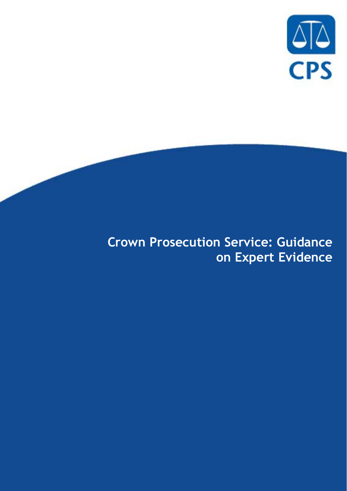

# **Crown Prosecution Service: Guidance on Expert Evidence**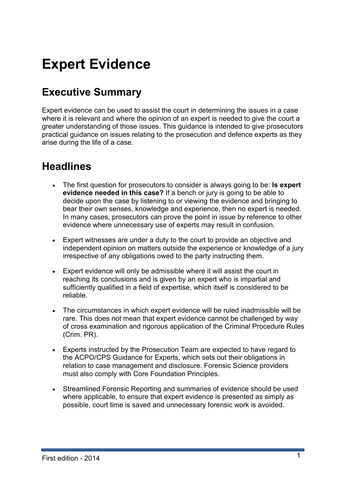# **Expert Evidence**

# **Executive Summary**

Expert evidence can be used to assist the court in determining the issues in a case where it is relevant and where the opinion of an expert is needed to give the court a greater understanding of those issues. This guidance is intended to give prosecutors practical guidance on issues relating to the prosecution and defence experts as they arise during the life of a case.

# **Headlines**

- The first question for prosecutors to consider is always going to be: **Is expert evidence needed in this case?** If a bench or jury is going to be able to decide upon the case by listening to or viewing the evidence and bringing to bear their own senses, knowledge and experience, then no expert is needed. In many cases, prosecutors can prove the point in issue by reference to other evidence where unnecessary use of experts may result in confusion.
- Expert witnesses are under a duty to the court to provide an objective and independent opinion on matters outside the experience or knowledge of a jury irrespective of any obligations owed to the party instructing them.
- Expert evidence will only be admissible where it will assist the court in reaching its conclusions and is given by an expert who is impartial and sufficiently qualified in a field of expertise, which itself is considered to be reliable.
- The circumstances in which expert evidence will be ruled inadmissible will be rare. This does not mean that expert evidence cannot be challenged by way of cross examination and rigorous application of the Criminal Procedure Rules (Crim. PR).
- Experts instructed by the Prosecution Team are expected to have regard to the ACPO/CPS Guidance for Experts, which sets out their obligations in relation to case management and disclosure. Forensic Science providers must also comply with Core Foundation Principles.
- Streamlined Forensic Reporting and summaries of evidence should be used where applicable, to ensure that expert evidence is presented as simply as possible, court time is saved and unnecessary forensic work is avoided.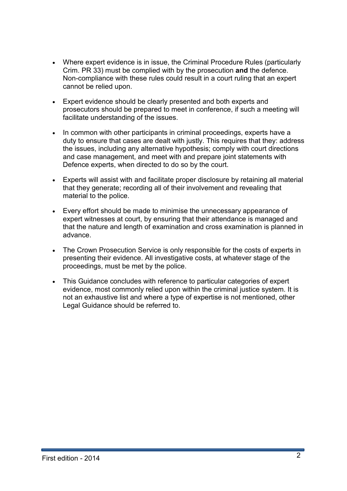- Where expert evidence is in issue, the Criminal Procedure Rules (particularly Crim. PR 33) must be complied with by the prosecution **and** the defence. Non-compliance with these rules could result in a court ruling that an expert cannot be relied upon.
- Expert evidence should be clearly presented and both experts and prosecutors should be prepared to meet in conference, if such a meeting will facilitate understanding of the issues.
- In common with other participants in criminal proceedings, experts have a duty to ensure that cases are dealt with justly. This requires that they: address the issues, including any alternative hypothesis; comply with court directions and case management, and meet with and prepare joint statements with Defence experts, when directed to do so by the court.
- Experts will assist with and facilitate proper disclosure by retaining all material that they generate; recording all of their involvement and revealing that material to the police.
- Every effort should be made to minimise the unnecessary appearance of expert witnesses at court, by ensuring that their attendance is managed and that the nature and length of examination and cross examination is planned in advance.
- The Crown Prosecution Service is only responsible for the costs of experts in presenting their evidence. All investigative costs, at whatever stage of the proceedings, must be met by the police.
- This Guidance concludes with reference to particular categories of expert evidence, most commonly relied upon within the criminal justice system. It is not an exhaustive list and where a type of expertise is not mentioned, other Legal Guidance should be referred to.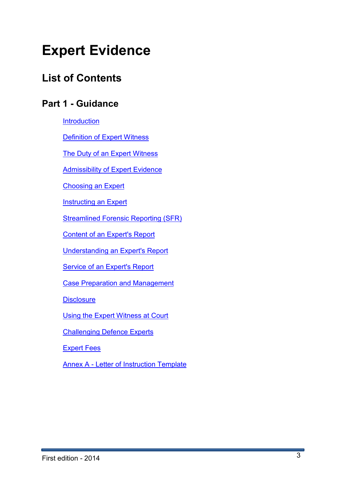# **Expert Evidence**

# **List of Contents**

# **Part 1 - Guidance**

**[Introduction](#page-5-0)** 

Definition [of Expert Witness](#page-5-1)

[The Duty of an Expert Witness](#page-5-2)

[Admissibility of Expert Evidence](#page-6-0)

[Choosing an Expert](#page-11-0)

[Instructing an Expert](#page-13-0)

[Streamlined Forensic Reporting \(SFR\)](#page-16-0)

[Content of an Expert's Report](#page-17-0)

[Understanding an Expert's Report](#page-17-0)

[Service of an Expert's Report](#page-22-0)

[Case Preparation and Management](#page-23-0)

**[Disclosure](#page-26-0)** 

[Using the Expert Witness at Court](#page-32-0)

[Challenging Defence Experts](#page-34-0)

[Expert Fees](#page-36-0)

Annex A - [Letter of Instruction Template](#page-40-0)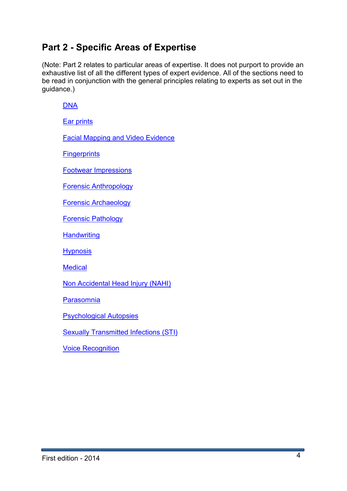# **Part 2 - Specific Areas of Expertise**

(Note: Part 2 relates to particular areas of expertise. It does not purport to provide an exhaustive list of all the different types of expert evidence. All of the sections need to be read in conjunction with the general principles relating to experts as set out in the guidance.)

**[DNA](#page-43-0)** 

[Ear prints](#page-51-0)

[Facial Mapping and Video Evidence](#page-52-0)

**[Fingerprints](#page-54-0)** 

[Footwear Impressions](#page-57-0)

[Forensic Anthropology](#page-58-0)

[Forensic Archaeology](#page-59-0)

[Forensic Pathology](#page-60-0)

**[Handwriting](#page-61-0)** 

**[Hypnosis](#page-62-0)** 

**[Medical](#page-63-0)** 

[Non Accidental Head Injury \(NAHI\)](#page-64-0)

[Parasomnia](#page-65-0)

[Psychological Autopsies](#page-66-0)

**[Sexually Transmitted Infections \(STI\)](#page-67-0)** 

[Voice Recognition](#page-68-0)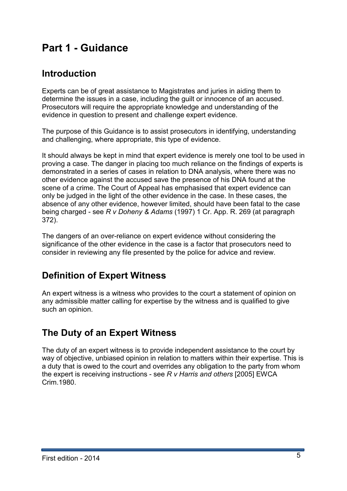# <span id="page-5-0"></span>**Part 1 - Guidance**

# **Introduction**

Experts can be of great assistance to Magistrates and juries in aiding them to determine the issues in a case, including the guilt or innocence of an accused. Prosecutors will require the appropriate knowledge and understanding of the evidence in question to present and challenge expert evidence.

The purpose of this Guidance is to assist prosecutors in identifying, understanding and challenging, where appropriate, this type of evidence.

It should always be kept in mind that expert evidence is merely one tool to be used in proving a case. The danger in placing too much reliance on the findings of experts is demonstrated in a series of cases in relation to DNA analysis, where there was no other evidence against the accused save the presence of his DNA found at the scene of a crime. The Court of Appeal has emphasised that expert evidence can only be judged in the light of the other evidence in the case. In these cases, the absence of any other evidence, however limited, should have been fatal to the case being charged - see *R v Doheny & Adams* (1997) 1 Cr. App. R. 269 (at paragraph 372).

The dangers of an over-reliance on expert evidence without considering the significance of the other evidence in the case is a factor that prosecutors need to consider in reviewing any file presented by the police for advice and review.

# <span id="page-5-1"></span>**Definition of Expert Witness**

An expert witness is a witness who provides to the court a statement of opinion on any admissible matter calling for expertise by the witness and is qualified to give such an opinion.

# <span id="page-5-2"></span>**The Duty of an Expert Witness**

The duty of an expert witness is to provide independent assistance to the court by way of objective, unbiased opinion in relation to matters within their expertise. This is a duty that is owed to the court and overrides any obligation to the party from whom the expert is receiving instructions - see *R v Harris and others* [2005] EWCA Crim.1980.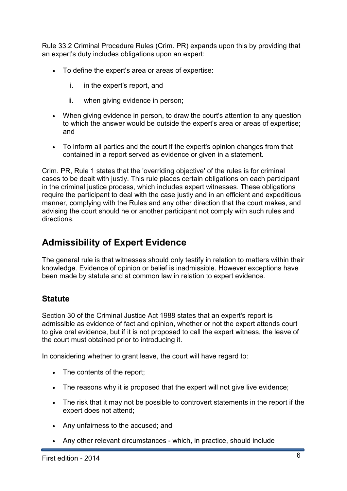Rule 33.2 Criminal Procedure Rules (Crim. PR) expands upon this by providing that an expert's duty includes obligations upon an expert:

- To define the expert's area or areas of expertise:
	- i. in the expert's report, and
	- ii. when giving evidence in person;
- When giving evidence in person, to draw the court's attention to any question to which the answer would be outside the expert's area or areas of expertise; and
- To inform all parties and the court if the expert's opinion changes from that contained in a report served as evidence or given in a statement.

Crim. PR, Rule 1 states that the 'overriding objective' of the rules is for criminal cases to be dealt with justly. This rule places certain obligations on each participant in the criminal justice process, which includes expert witnesses. These obligations require the participant to deal with the case justly and in an efficient and expeditious manner, complying with the Rules and any other direction that the court makes, and advising the court should he or another participant not comply with such rules and directions.

# <span id="page-6-0"></span>**Admissibility of Expert Evidence**

The general rule is that witnesses should only testify in relation to matters within their knowledge. Evidence of opinion or belief is inadmissible. However exceptions have been made by statute and at common law in relation to expert evidence.

### **Statute**

Section 30 of the Criminal Justice Act 1988 states that an expert's report is admissible as evidence of fact and opinion, whether or not the expert attends court to give oral evidence, but if it is not proposed to call the expert witness, the leave of the court must obtained prior to introducing it.

In considering whether to grant leave, the court will have regard to:

- The contents of the report;
- The reasons why it is proposed that the expert will not give live evidence:
- The risk that it may not be possible to controvert statements in the report if the expert does not attend;
- Any unfairness to the accused; and
- Any other relevant circumstances which, in practice, should include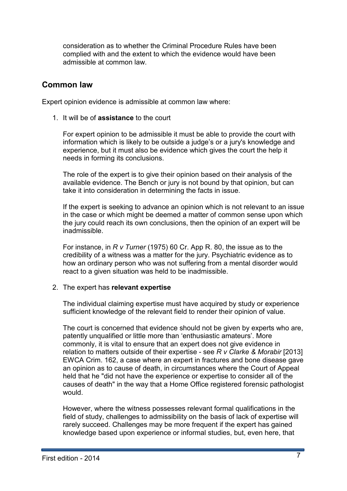consideration as to whether the Criminal Procedure Rules have been complied with and the extent to which the evidence would have been admissible at common law.

### **Common law**

Expert opinion evidence is admissible at common law where:

1. It will be of **assistance** to the court

For expert opinion to be admissible it must be able to provide the court with information which is likely to be outside a judge's or a jury's knowledge and experience, but it must also be evidence which gives the court the help it needs in forming its conclusions.

The role of the expert is to give their opinion based on their analysis of the available evidence. The Bench or jury is not bound by that opinion, but can take it into consideration in determining the facts in issue.

If the expert is seeking to advance an opinion which is not relevant to an issue in the case or which might be deemed a matter of common sense upon which the jury could reach its own conclusions, then the opinion of an expert will be inadmissible.

For instance, in *R v Turner* (1975) 60 Cr. App R. 80, the issue as to the credibility of a witness was a matter for the jury. Psychiatric evidence as to how an ordinary person who was not suffering from a mental disorder would react to a given situation was held to be inadmissible.

#### 2. The expert has **relevant expertise**

The individual claiming expertise must have acquired by study or experience sufficient knowledge of the relevant field to render their opinion of value.

The court is concerned that evidence should not be given by experts who are, patently unqualified or little more than 'enthusiastic amateurs'. More commonly, it is vital to ensure that an expert does not give evidence in relation to matters outside of their expertise - see *R v Clarke & Morabir* [2013] EWCA Crim. 162, a case where an expert in fractures and bone disease gave an opinion as to cause of death, in circumstances where the Court of Appeal held that he "did not have the experience or expertise to consider all of the causes of death" in the way that a Home Office registered forensic pathologist would.

However, where the witness possesses relevant formal qualifications in the field of study, challenges to admissibility on the basis of lack of expertise will rarely succeed. Challenges may be more frequent if the expert has gained knowledge based upon experience or informal studies, but, even here, that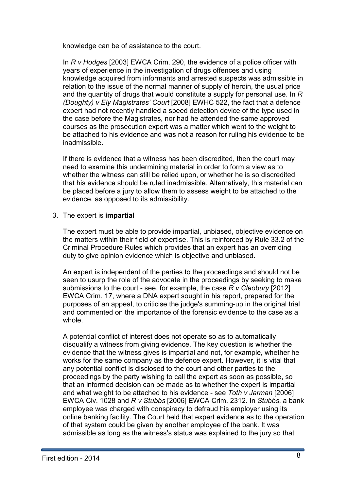knowledge can be of assistance to the court.

In *R v Hodges* [2003] EWCA Crim. 290, the evidence of a police officer with years of experience in the investigation of drugs offences and using knowledge acquired from informants and arrested suspects was admissible in relation to the issue of the normal manner of supply of heroin, the usual price and the quantity of drugs that would constitute a supply for personal use. In *R (Doughty) v Ely Magistrates' Court* [2008] EWHC 522, the fact that a defence expert had not recently handled a speed detection device of the type used in the case before the Magistrates, nor had he attended the same approved courses as the prosecution expert was a matter which went to the weight to be attached to his evidence and was not a reason for ruling his evidence to be inadmissible.

If there is evidence that a witness has been discredited, then the court may need to examine this undermining material in order to form a view as to whether the witness can still be relied upon, or whether he is so discredited that his evidence should be ruled inadmissible. Alternatively, this material can be placed before a jury to allow them to assess weight to be attached to the evidence, as opposed to its admissibility.

#### 3. The expert is **impartial**

The expert must be able to provide impartial, unbiased, objective evidence on the matters within their field of expertise. This is reinforced by Rule 33.2 of the Criminal Procedure Rules which provides that an expert has an overriding duty to give opinion evidence which is objective and unbiased.

An expert is independent of the parties to the proceedings and should not be seen to usurp the role of the advocate in the proceedings by seeking to make submissions to the court - see, for example, the case *R v Cleobury* [2012] EWCA Crim. 17, where a DNA expert sought in his report, prepared for the purposes of an appeal, to criticise the judge's summing-up in the original trial and commented on the importance of the forensic evidence to the case as a whole.

A potential conflict of interest does not operate so as to automatically disqualify a witness from giving evidence. The key question is whether the evidence that the witness gives is impartial and not, for example, whether he works for the same company as the defence expert. However, it is vital that any potential conflict is disclosed to the court and other parties to the proceedings by the party wishing to call the expert as soon as possible, so that an informed decision can be made as to whether the expert is impartial and what weight to be attached to his evidence - see *Toth v Jarman* [2006] EWCA Civ. 1028 and *R v Stubbs* [2006] EWCA Crim. 2312. In *Stubbs*, a bank employee was charged with conspiracy to defraud his employer using its online banking facility. The Court held that expert evidence as to the operation of that system could be given by another employee of the bank. It was admissible as long as the witness's status was explained to the jury so that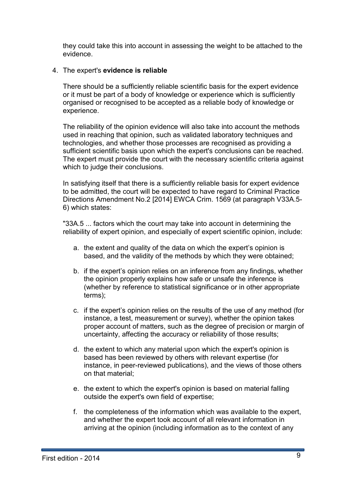they could take this into account in assessing the weight to be attached to the evidence.

#### 4. The expert's **evidence is reliable**

There should be a sufficiently reliable scientific basis for the expert evidence or it must be part of a body of knowledge or experience which is sufficiently organised or recognised to be accepted as a reliable body of knowledge or experience.

The reliability of the opinion evidence will also take into account the methods used in reaching that opinion, such as validated laboratory techniques and technologies, and whether those processes are recognised as providing a sufficient scientific basis upon which the expert's conclusions can be reached. The expert must provide the court with the necessary scientific criteria against which to judge their conclusions.

In satisfying itself that there is a sufficiently reliable basis for expert evidence to be admitted, the court will be expected to have regard to Criminal Practice Directions Amendment No.2 [2014] EWCA Crim. 1569 (at paragraph V33A.5- 6) which states:

"33A.5 ... factors which the court may take into account in determining the reliability of expert opinion, and especially of expert scientific opinion, include:

- a. the extent and quality of the data on which the expert's opinion is based, and the validity of the methods by which they were obtained;
- b. if the expert's opinion relies on an inference from any findings, whether the opinion properly explains how safe or unsafe the inference is (whether by reference to statistical significance or in other appropriate terms);
- c. if the expert's opinion relies on the results of the use of any method (for instance, a test, measurement or survey), whether the opinion takes proper account of matters, such as the degree of precision or margin of uncertainty, affecting the accuracy or reliability of those results;
- d. the extent to which any material upon which the expert's opinion is based has been reviewed by others with relevant expertise (for instance, in peer-reviewed publications), and the views of those others on that material;
- e. the extent to which the expert's opinion is based on material falling outside the expert's own field of expertise;
- f. the completeness of the information which was available to the expert, and whether the expert took account of all relevant information in arriving at the opinion (including information as to the context of any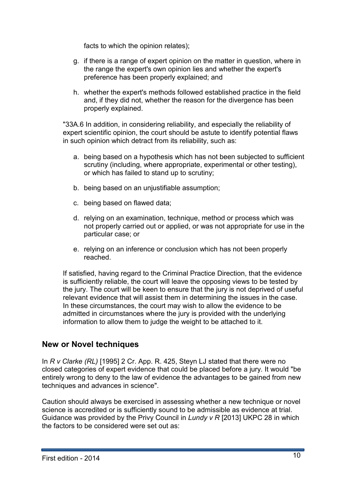facts to which the opinion relates);

- g. if there is a range of expert opinion on the matter in question, where in the range the expert's own opinion lies and whether the expert's preference has been properly explained; and
- h. whether the expert's methods followed established practice in the field and, if they did not, whether the reason for the divergence has been properly explained.

"33A.6 In addition, in considering reliability, and especially the reliability of expert scientific opinion, the court should be astute to identify potential flaws in such opinion which detract from its reliability, such as:

- a. being based on a hypothesis which has not been subjected to sufficient scrutiny (including, where appropriate, experimental or other testing), or which has failed to stand up to scrutiny;
- b. being based on an unjustifiable assumption;
- c. being based on flawed data;
- d. relying on an examination, technique, method or process which was not properly carried out or applied, or was not appropriate for use in the particular case; or
- e. relying on an inference or conclusion which has not been properly reached.

If satisfied, having regard to the Criminal Practice Direction, that the evidence is sufficiently reliable, the court will leave the opposing views to be tested by the jury. The court will be keen to ensure that the jury is not deprived of useful relevant evidence that will assist them in determining the issues in the case. In these circumstances, the court may wish to allow the evidence to be admitted in circumstances where the jury is provided with the underlying information to allow them to judge the weight to be attached to it.

### **New or Novel techniques**

In *R v Clarke (RL)* [1995] 2 Cr. App. R. 425, Steyn LJ stated that there were no closed categories of expert evidence that could be placed before a jury. It would "be entirely wrong to deny to the law of evidence the advantages to be gained from new techniques and advances in science".

Caution should always be exercised in assessing whether a new technique or novel science is accredited or is sufficiently sound to be admissible as evidence at trial. Guidance was provided by the Privy Council in *Lundy v R* [2013] UKPC 28 in which the factors to be considered were set out as: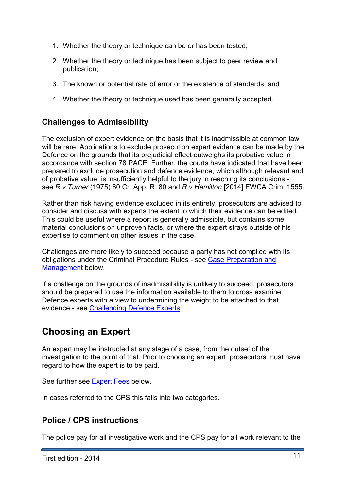- 1. Whether the theory or technique can be or has been tested;
- 2. Whether the theory or technique has been subject to peer review and publication;
- 3. The known or potential rate of error or the existence of standards; and
- 4. Whether the theory or technique used has been generally accepted.

### **Challenges to Admissibility**

The exclusion of expert evidence on the basis that it is inadmissible at common law will be rare. Applications to exclude prosecution expert evidence can be made by the Defence on the grounds that its prejudicial effect outweighs its probative value in accordance with section 78 PACE. Further, the courts have indicated that have been prepared to exclude prosecution and defence evidence, which although relevant and of probative value, is insufficiently helpful to the jury in reaching its conclusions see *R v Turner* (1975) 60 Cr. App. R. 80 and *R v Hamilton* [2014] EWCA Crim. 1555.

Rather than risk having evidence excluded in its entirety, prosecutors are advised to consider and discuss with experts the extent to which their evidence can be edited. This could be useful where a report is generally admissible, but contains some material conclusions on unproven facts, or where the expert strays outside of his expertise to comment on other issues in the case.

Challenges are more likely to succeed because a party has not complied with its obligations under the Criminal Procedure Rules - see [Case Preparation and](#page-23-0)  [Management](#page-23-0) below.

If a challenge on the grounds of inadmissibility is unlikely to succeed, prosecutors should be prepared to use the information available to them to cross examine Defence experts with a view to undermining the weight to be attached to that evidence - see [Challenging Defence Experts.](#page-34-0)

# <span id="page-11-0"></span>**Choosing an Expert**

An expert may be instructed at any stage of a case, from the outset of the investigation to the point of trial. Prior to choosing an expert, prosecutors must have regard to how the expert is to be paid.

See further see [Expert Fees](#page-36-0) below.

In cases referred to the CPS this falls into two categories.

### **Police / CPS instructions**

The police pay for all investigative work and the CPS pay for all work relevant to the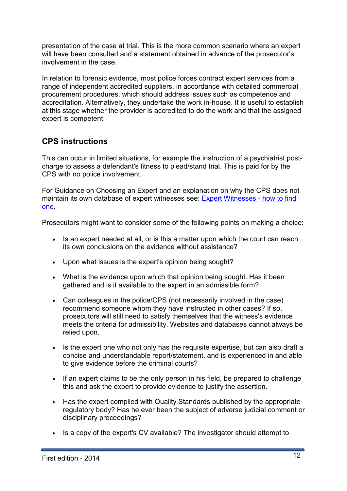presentation of the case at trial. This is the more common scenario where an expert will have been consulted and a statement obtained in advance of the prosecutor's involvement in the case.

In relation to forensic evidence, most police forces contract expert services from a range of independent accredited suppliers, in accordance with detailed commercial procurement procedures, which should address issues such as competence and accreditation. Alternatively, they undertake the work in-house. It is useful to establish at this stage whether the provider is accredited to do the work and that the assigned expert is competent.

### **CPS instructions**

This can occur in limited situations, for example the instruction of a psychiatrist postcharge to assess a defendant's fitness to plead/stand trial. This is paid for by the CPS with no police involvement.

For Guidance on Choosing an Expert and an explanation on why the CPS does not maintain its own database of expert witnesses see: [Expert Witnesses -](http://www.cps.gov.uk/legal/d_to_g/expert_witnesses_-_how_to_find_one/) how to find [one.](http://www.cps.gov.uk/legal/d_to_g/expert_witnesses_-_how_to_find_one/)

Prosecutors might want to consider some of the following points on making a choice:

- Is an expert needed at all, or is this a matter upon which the court can reach its own conclusions on the evidence without assistance?
- Upon what issues is the expert's opinion being sought?
- What is the evidence upon which that opinion being sought. Has it been gathered and is it available to the expert in an admissible form?
- Can colleagues in the police/CPS (not necessarily involved in the case) recommend someone whom they have instructed in other cases? If so, prosecutors will still need to satisfy themselves that the witness's evidence meets the criteria for admissibility. Websites and databases cannot always be relied upon.
- Is the expert one who not only has the requisite expertise, but can also draft a concise and understandable report/statement, and is experienced in and able to give evidence before the criminal courts?
- If an expert claims to be the only person in his field, be prepared to challenge this and ask the expert to provide evidence to justify the assertion.
- Has the expert complied with Quality Standards published by the appropriate regulatory body? Has he ever been the subject of adverse judicial comment or disciplinary proceedings?
- Is a copy of the expert's CV available? The investigator should attempt to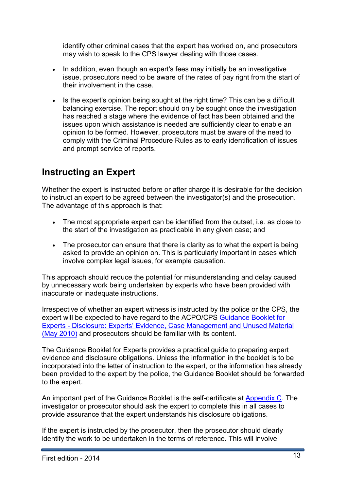identify other criminal cases that the expert has worked on, and prosecutors may wish to speak to the CPS lawyer dealing with those cases.

- In addition, even though an expert's fees may initially be an investigative issue, prosecutors need to be aware of the rates of pay right from the start of their involvement in the case.
- Is the expert's opinion being sought at the right time? This can be a difficult balancing exercise. The report should only be sought once the investigation has reached a stage where the evidence of fact has been obtained and the issues upon which assistance is needed are sufficiently clear to enable an opinion to be formed. However, prosecutors must be aware of the need to comply with the Criminal Procedure Rules as to early identification of issues and prompt service of reports.

# <span id="page-13-0"></span>**Instructing an Expert**

Whether the expert is instructed before or after charge it is desirable for the decision to instruct an expert to be agreed between the investigator(s) and the prosecution. The advantage of this approach is that:

- The most appropriate expert can be identified from the outset, i.e. as close to the start of the investigation as practicable in any given case; and
- The prosecutor can ensure that there is clarity as to what the expert is being asked to provide an opinion on. This is particularly important in cases which involve complex legal issues, for example causation.

This approach should reduce the potential for misunderstanding and delay caused by unnecessary work being undertaken by experts who have been provided with inaccurate or inadequate instructions.

Irrespective of whether an expert witness is instructed by the police or the CPS, the expert will be expected to have regard to the ACPO/CPS [Guidance Booklet for](http://www.cps.gov.uk/legal/d_to_g/disclosure_manual/annex_k_disclosure_manual/)  Experts - [Disclosure: Experts' Evidence, Case Management and Unused Material](http://www.cps.gov.uk/legal/d_to_g/disclosure_manual/annex_k_disclosure_manual/)  [\(May 2010\)](http://www.cps.gov.uk/legal/d_to_g/disclosure_manual/annex_k_disclosure_manual/) and prosecutors should be familiar with its content.

The Guidance Booklet for Experts provides a practical guide to preparing expert evidence and disclosure obligations. Unless the information in the booklet is to be incorporated into the letter of instruction to the expert, or the information has already been provided to the expert by the police, the Guidance Booklet should be forwarded to the expert.

An important part of the Guidance Booklet is the self-certificate at [Appendix C.](http://www.cps.gov.uk/legal/assets/uploads/files/Guidance%20Booklet%20for%20Experts%20-%20Appendix%20C%20with%20logo.doc) The investigator or prosecutor should ask the expert to complete this in all cases to provide assurance that the expert understands his disclosure obligations.

If the expert is instructed by the prosecutor, then the prosecutor should clearly identify the work to be undertaken in the terms of reference. This will involve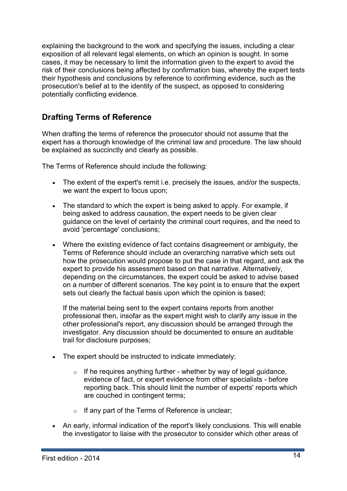explaining the background to the work and specifying the issues, including a clear exposition of all relevant legal elements, on which an opinion is sought. In some cases, it may be necessary to limit the information given to the expert to avoid the risk of their conclusions being affected by confirmation bias, whereby the expert tests their hypothesis and conclusions by reference to confirming evidence, such as the prosecution's belief at to the identity of the suspect, as opposed to considering potentially conflicting evidence.

### **Drafting Terms of Reference**

When drafting the terms of reference the prosecutor should not assume that the expert has a thorough knowledge of the criminal law and procedure. The law should be explained as succinctly and clearly as possible.

The Terms of Reference should include the following:

- The extent of the expert's remit i.e. precisely the issues, and/or the suspects, we want the expert to focus upon;
- The standard to which the expert is being asked to apply. For example, if being asked to address causation, the expert needs to be given clear guidance on the level of certainty the criminal court requires, and the need to avoid 'percentage' conclusions;
- Where the existing evidence of fact contains disagreement or ambiguity, the Terms of Reference should include an overarching narrative which sets out how the prosecution would propose to put the case in that regard, and ask the expert to provide his assessment based on that narrative. Alternatively, depending on the circumstances, the expert could be asked to advise based on a number of different scenarios. The key point is to ensure that the expert sets out clearly the factual basis upon which the opinion is based;

If the material being sent to the expert contains reports from another professional then, insofar as the expert might wish to clarify any issue in the other professional's report, any discussion should be arranged through the investigator. Any discussion should be documented to ensure an auditable trail for disclosure purposes;

- The expert should be instructed to indicate immediately:
	- $\circ$  If he requires anything further whether by way of legal guidance, evidence of fact, or expert evidence from other specialists - before reporting back. This should limit the number of experts' reports which are couched in contingent terms;
	- $\circ$  If any part of the Terms of Reference is unclear;
- An early, informal indication of the report's likely conclusions. This will enable the investigator to liaise with the prosecutor to consider which other areas of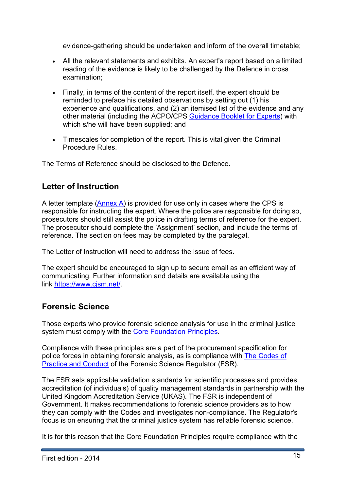evidence-gathering should be undertaken and inform of the overall timetable;

- All the relevant statements and exhibits. An expert's report based on a limited reading of the evidence is likely to be challenged by the Defence in cross examination;
- Finally, in terms of the content of the report itself, the expert should be reminded to preface his detailed observations by setting out (1) his experience and qualifications, and (2) an itemised list of the evidence and any other material (including the ACPO/CPS [Guidance Booklet for Experts\)](http://www.cps.gov.uk/legal/d_to_g/disclosure_manual/annex_k_disclosure_manual/) with which s/he will have been supplied; and
- Timescales for completion of the report. This is vital given the Criminal Procedure Rules.

The Terms of Reference should be disclosed to the Defence.

### **Letter of Instruction**

A letter template  $(An \mid A)$  is provided for use only in cases where the CPS is responsible for instructing the expert. Where the police are responsible for doing so, prosecutors should still assist the police in drafting terms of reference for the expert. The prosecutor should complete the 'Assignment' section, and include the terms of reference. The section on fees may be completed by the paralegal.

The Letter of Instruction will need to address the issue of fees.

The expert should be encouraged to sign up to secure email as an efficient way of communicating. Further information and details are available using the link [https://www.cjsm.net/.](https://www.cjsm.net/)

### **Forensic Science**

Those experts who provide forensic science analysis for use in the criminal justice system must comply with the [Core Foundation Principles.](http://www.cps.gov.uk/legal/s_to_u/scientific_evidence/core_foundation_principles_for_forensic_science_providers/)

Compliance with these principles are a part of the procurement specification for police forces in obtaining forensic analysis, as is compliance with [The Codes of](https://www.gov.uk/government/publications/forensic-science-providers-codes-of-practice-and-conduct)  [Practice and Conduct](https://www.gov.uk/government/publications/forensic-science-providers-codes-of-practice-and-conduct) of the Forensic Science Regulator (FSR).

The FSR sets applicable validation standards for scientific processes and provides accreditation (of individuals) of quality management standards in partnership with the United Kingdom Accreditation Service (UKAS). The FSR is independent of Government. It makes recommendations to forensic science providers as to how they can comply with the Codes and investigates non-compliance. The Regulator's focus is on ensuring that the criminal justice system has reliable forensic science.

It is for this reason that the Core Foundation Principles require compliance with the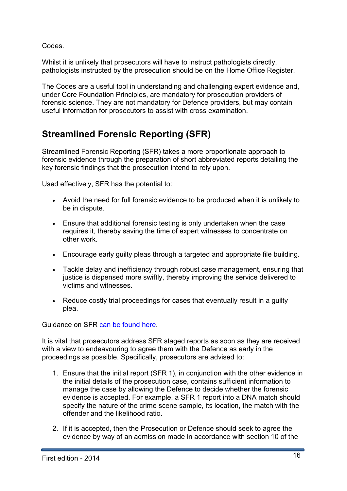Codes.

Whilst it is unlikely that prosecutors will have to instruct pathologists directly, pathologists instructed by the prosecution should be on the Home Office Register.

The Codes are a useful tool in understanding and challenging expert evidence and, under Core Foundation Principles, are mandatory for prosecution providers of forensic science. They are not mandatory for Defence providers, but may contain useful information for prosecutors to assist with cross examination.

# <span id="page-16-0"></span>**Streamlined Forensic Reporting (SFR)**

Streamlined Forensic Reporting (SFR) takes a more proportionate approach to forensic evidence through the preparation of short abbreviated reports detailing the key forensic findings that the prosecution intend to rely upon.

Used effectively, SFR has the potential to:

- Avoid the need for full forensic evidence to be produced when it is unlikely to be in dispute.
- Ensure that additional forensic testing is only undertaken when the case requires it, thereby saving the time of expert witnesses to concentrate on other work.
- Encourage early guilty pleas through a targeted and appropriate file building.
- Tackle delay and inefficiency through robust case management, ensuring that justice is dispensed more swiftly, thereby improving the service delivered to victims and witnesses.
- Reduce costly trial proceedings for cases that eventually result in a guilty plea.

Guidance on SFR [can be found here.](http://www.cps.gov.uk/legal/s_to_u/scientific_evidence/sfr_guidance_and_toolkit/)

It is vital that prosecutors address SFR staged reports as soon as they are received with a view to endeavouring to agree them with the Defence as early in the proceedings as possible. Specifically, prosecutors are advised to:

- 1. Ensure that the initial report (SFR 1), in conjunction with the other evidence in the initial details of the prosecution case, contains sufficient information to manage the case by allowing the Defence to decide whether the forensic evidence is accepted. For example, a SFR 1 report into a DNA match should specify the nature of the crime scene sample, its location, the match with the offender and the likelihood ratio.
- 2. If it is accepted, then the Prosecution or Defence should seek to agree the evidence by way of an admission made in accordance with section 10 of the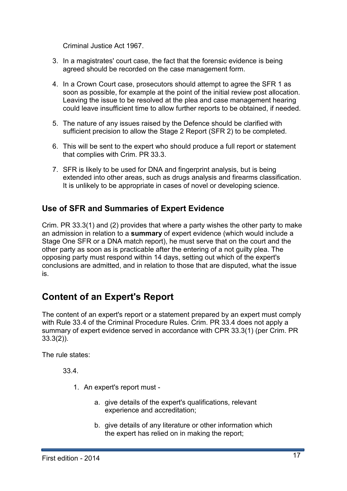Criminal Justice Act 1967.

- 3. In a magistrates' court case, the fact that the forensic evidence is being agreed should be recorded on the case management form.
- 4. In a Crown Court case, prosecutors should attempt to agree the SFR 1 as soon as possible, for example at the point of the initial review post allocation. Leaving the issue to be resolved at the plea and case management hearing could leave insufficient time to allow further reports to be obtained, if needed.
- 5. The nature of any issues raised by the Defence should be clarified with sufficient precision to allow the Stage 2 Report (SFR 2) to be completed.
- 6. This will be sent to the expert who should produce a full report or statement that complies with Crim. PR 33.3.
- 7. SFR is likely to be used for DNA and fingerprint analysis, but is being extended into other areas, such as drugs analysis and firearms classification. It is unlikely to be appropriate in cases of novel or developing science.

### <span id="page-17-1"></span>**Use of SFR and Summaries of Expert Evidence**

Crim. PR 33.3(1) and (2) provides that where a party wishes the other party to make an admission in relation to a **summary** of expert evidence (which would include a Stage One SFR or a DNA match report), he must serve that on the court and the other party as soon as is practicable after the entering of a not guilty plea. The opposing party must respond within 14 days, setting out which of the expert's conclusions are admitted, and in relation to those that are disputed, what the issue is.

# <span id="page-17-0"></span>**Content of an Expert's Report**

The content of an expert's report or a statement prepared by an expert must comply with Rule 33.4 of the Criminal Procedure Rules. Crim. PR 33.4 does not apply a summary of expert evidence served in accordance with CPR 33.3(1) (per Crim. PR 33.3(2)).

The rule states:

33.4.

- 1. An expert's report must
	- a. give details of the expert's qualifications, relevant experience and accreditation;
	- b. give details of any literature or other information which the expert has relied on in making the report;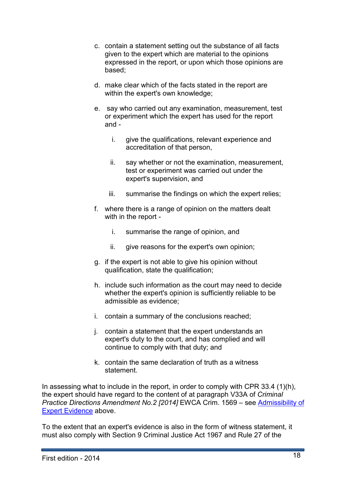- c. contain a statement setting out the substance of all facts given to the expert which are material to the opinions expressed in the report, or upon which those opinions are based;
- d. make clear which of the facts stated in the report are within the expert's own knowledge;
- e. say who carried out any examination, measurement, test or experiment which the expert has used for the report and
	- i. give the qualifications, relevant experience and accreditation of that person,
	- ii. say whether or not the examination, measurement, test or experiment was carried out under the expert's supervision, and
	- iii. summarise the findings on which the expert relies;
- f. where there is a range of opinion on the matters dealt with in the report
	- i. summarise the range of opinion, and
	- ii. give reasons for the expert's own opinion;
- g. if the expert is not able to give his opinion without qualification, state the qualification;
- h. include such information as the court may need to decide whether the expert's opinion is sufficiently reliable to be admissible as evidence;
- i. contain a summary of the conclusions reached;
- j. contain a statement that the expert understands an expert's duty to the court, and has complied and will continue to comply with that duty; and
- k. contain the same declaration of truth as a witness statement.

In assessing what to include in the report, in order to comply with CPR 33.4 (1)(h), the expert should have regard to the content of at paragraph V33A of *Criminal Practice Directions Amendment No.2 [2014]* EWCA Crim. 1569 – see [Admissibility of](#page-6-0)  [Expert Evidence](#page-6-0) above.

To the extent that an expert's evidence is also in the form of witness statement, it must also comply with Section 9 Criminal Justice Act 1967 and Rule 27 of the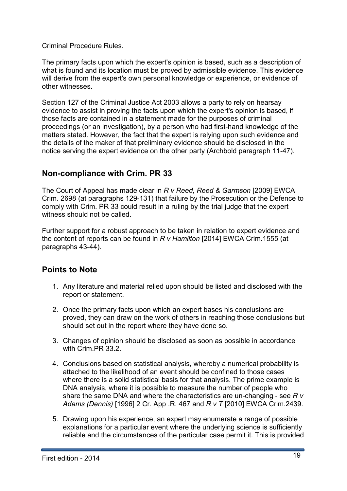Criminal Procedure Rules.

The primary facts upon which the expert's opinion is based, such as a description of what is found and its location must be proved by admissible evidence. This evidence will derive from the expert's own personal knowledge or experience, or evidence of other witnesses.

Section 127 of the Criminal Justice Act 2003 allows a party to rely on hearsay evidence to assist in proving the facts upon which the expert's opinion is based, if those facts are contained in a statement made for the purposes of criminal proceedings (or an investigation), by a person who had first-hand knowledge of the matters stated. However, the fact that the expert is relying upon such evidence and the details of the maker of that preliminary evidence should be disclosed in the notice serving the expert evidence on the other party (Archbold paragraph 11-47).

### **Non-compliance with Crim. PR 33**

The Court of Appeal has made clear in *R v Reed, Reed & Garmson* [2009] EWCA Crim. 2698 (at paragraphs 129-131) that failure by the Prosecution or the Defence to comply with Crim. PR 33 could result in a ruling by the trial judge that the expert witness should not be called.

Further support for a robust approach to be taken in relation to expert evidence and the content of reports can be found in *R v Hamilton* [2014] EWCA Crim.1555 (at paragraphs 43-44).

### **Points to Note**

- 1. Any literature and material relied upon should be listed and disclosed with the report or statement.
- 2. Once the primary facts upon which an expert bases his conclusions are proved, they can draw on the work of others in reaching those conclusions but should set out in the report where they have done so.
- 3. Changes of opinion should be disclosed as soon as possible in accordance with Crim. PR 33.2.
- 4. Conclusions based on statistical analysis, whereby a numerical probability is attached to the likelihood of an event should be confined to those cases where there is a solid statistical basis for that analysis. The prime example is DNA analysis, where it is possible to measure the number of people who share the same DNA and where the characteristics are un-changing - see *R v Adams (Dennis)* [1996] 2 Cr. App .R. 467 and *R v T* [2010] EWCA Crim.2439.
- 5. Drawing upon his experience, an expert may enumerate a range of possible explanations for a particular event where the underlying science is sufficiently reliable and the circumstances of the particular case permit it. This is provided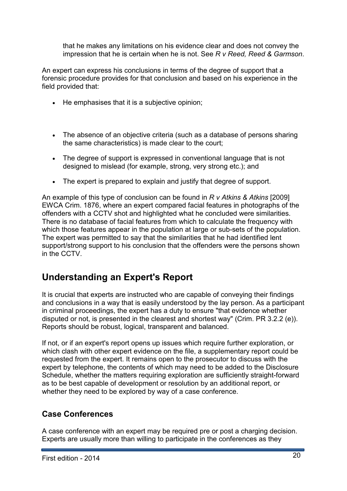that he makes any limitations on his evidence clear and does not convey the impression that he is certain when he is not. See *R v Reed, Reed & Garmson*.

An expert can express his conclusions in terms of the degree of support that a forensic procedure provides for that conclusion and based on his experience in the field provided that:

- He emphasises that it is a subjective opinion;
- The absence of an objective criteria (such as a database of persons sharing the same characteristics) is made clear to the court;
- The degree of support is expressed in conventional language that is not designed to mislead (for example, strong, very strong etc.); and
- The expert is prepared to explain and justify that degree of support.

An example of this type of conclusion can be found in *R v Atkins & Atkins* [2009] EWCA Crim. 1876, where an expert compared facial features in photographs of the offenders with a CCTV shot and highlighted what he concluded were similarities. There is no database of facial features from which to calculate the frequency with which those features appear in the population at large or sub-sets of the population. The expert was permitted to say that the similarities that he had identified lent support/strong support to his conclusion that the offenders were the persons shown in the CCTV.

# **Understanding an Expert's Report**

It is crucial that experts are instructed who are capable of conveying their findings and conclusions in a way that is easily understood by the lay person. As a participant in criminal proceedings, the expert has a duty to ensure "that evidence whether disputed or not, is presented in the clearest and shortest way" (Crim. PR 3.2.2 (e)). Reports should be robust, logical, transparent and balanced.

If not, or if an expert's report opens up issues which require further exploration, or which clash with other expert evidence on the file, a supplementary report could be requested from the expert. It remains open to the prosecutor to discuss with the expert by telephone, the contents of which may need to be added to the Disclosure Schedule, whether the matters requiring exploration are sufficiently straight-forward as to be best capable of development or resolution by an additional report, or whether they need to be explored by way of a case conference.

### **Case Conferences**

A case conference with an expert may be required pre or post a charging decision. Experts are usually more than willing to participate in the conferences as they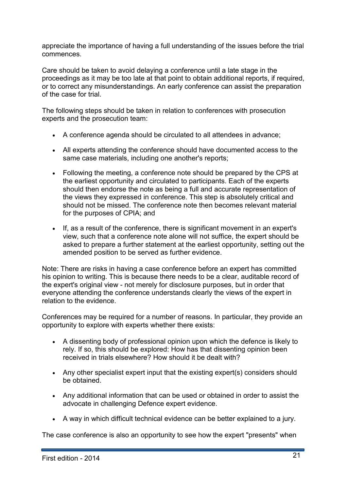appreciate the importance of having a full understanding of the issues before the trial commences.

Care should be taken to avoid delaying a conference until a late stage in the proceedings as it may be too late at that point to obtain additional reports, if required, or to correct any misunderstandings. An early conference can assist the preparation of the case for trial.

The following steps should be taken in relation to conferences with prosecution experts and the prosecution team:

- A conference agenda should be circulated to all attendees in advance;
- All experts attending the conference should have documented access to the same case materials, including one another's reports;
- Following the meeting, a conference note should be prepared by the CPS at the earliest opportunity and circulated to participants. Each of the experts should then endorse the note as being a full and accurate representation of the views they expressed in conference. This step is absolutely critical and should not be missed. The conference note then becomes relevant material for the purposes of CPIA; and
- If, as a result of the conference, there is significant movement in an expert's view, such that a conference note alone will not suffice, the expert should be asked to prepare a further statement at the earliest opportunity, setting out the amended position to be served as further evidence.

Note: There are risks in having a case conference before an expert has committed his opinion to writing. This is because there needs to be a clear, auditable record of the expert's original view - not merely for disclosure purposes, but in order that everyone attending the conference understands clearly the views of the expert in relation to the evidence.

Conferences may be required for a number of reasons. In particular, they provide an opportunity to explore with experts whether there exists:

- A dissenting body of professional opinion upon which the defence is likely to rely. If so, this should be explored: How has that dissenting opinion been received in trials elsewhere? How should it be dealt with?
- Any other specialist expert input that the existing expert(s) considers should be obtained.
- Any additional information that can be used or obtained in order to assist the advocate in challenging Defence expert evidence.
- A way in which difficult technical evidence can be better explained to a jury.

The case conference is also an opportunity to see how the expert "presents" when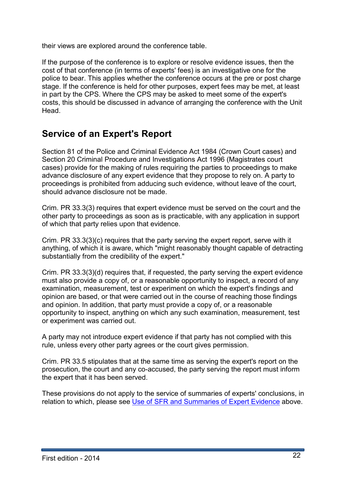their views are explored around the conference table.

If the purpose of the conference is to explore or resolve evidence issues, then the cost of that conference (in terms of experts' fees) is an investigative one for the police to bear. This applies whether the conference occurs at the pre or post charge stage. If the conference is held for other purposes, expert fees may be met, at least in part by the CPS. Where the CPS may be asked to meet some of the expert's costs, this should be discussed in advance of arranging the conference with the Unit Head.

# <span id="page-22-0"></span>**Service of an Expert's Report**

Section 81 of the Police and Criminal Evidence Act 1984 (Crown Court cases) and Section 20 Criminal Procedure and Investigations Act 1996 (Magistrates court cases) provide for the making of rules requiring the parties to proceedings to make advance disclosure of any expert evidence that they propose to rely on. A party to proceedings is prohibited from adducing such evidence, without leave of the court, should advance disclosure not be made.

Crim. PR 33.3(3) requires that expert evidence must be served on the court and the other party to proceedings as soon as is practicable, with any application in support of which that party relies upon that evidence.

Crim. PR 33.3(3)(c) requires that the party serving the expert report, serve with it anything, of which it is aware, which "might reasonably thought capable of detracting substantially from the credibility of the expert."

Crim. PR 33.3(3)(d) requires that, if requested, the party serving the expert evidence must also provide a copy of, or a reasonable opportunity to inspect, a record of any examination, measurement, test or experiment on which the expert's findings and opinion are based, or that were carried out in the course of reaching those findings and opinion. In addition, that party must provide a copy of, or a reasonable opportunity to inspect, anything on which any such examination, measurement, test or experiment was carried out.

A party may not introduce expert evidence if that party has not complied with this rule, unless every other party agrees or the court gives permission.

Crim. PR 33.5 stipulates that at the same time as serving the expert's report on the prosecution, the court and any co-accused, the party serving the report must inform the expert that it has been served.

These provisions do not apply to the service of summaries of experts' conclusions, in relation to which, please see [Use of SFR and Summaries of Expert Evidence](#page-17-1) above.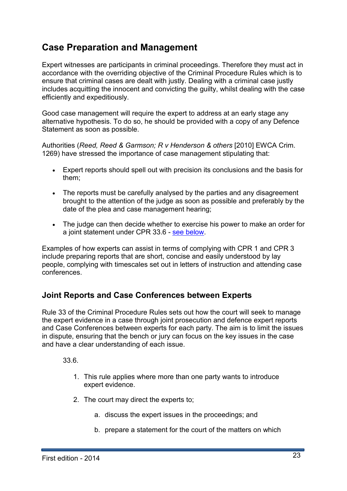# <span id="page-23-0"></span>**Case Preparation and Management**

Expert witnesses are participants in criminal proceedings. Therefore they must act in accordance with the overriding objective of the Criminal Procedure Rules which is to ensure that criminal cases are dealt with justly. Dealing with a criminal case justly includes acquitting the innocent and convicting the guilty, whilst dealing with the case efficiently and expeditiously.

Good case management will require the expert to address at an early stage any alternative hypothesis. To do so, he should be provided with a copy of any Defence Statement as soon as possible.

Authorities (*Reed, Reed & Garmson; R v Henderson & others* [2010] EWCA Crim. 1269) have stressed the importance of case management stipulating that:

- Expert reports should spell out with precision its conclusions and the basis for them;
- The reports must be carefully analysed by the parties and any disagreement brought to the attention of the judge as soon as possible and preferably by the date of the plea and case management hearing;
- The judge can then decide whether to exercise his power to make an order for a joint statement under CPR 33.6 - [see below.](#page-23-1)

Examples of how experts can assist in terms of complying with CPR 1 and CPR 3 include preparing reports that are short, concise and easily understood by lay people, complying with timescales set out in letters of instruction and attending case conferences.

### <span id="page-23-1"></span>**Joint Reports and Case Conferences between Experts**

Rule 33 of the Criminal Procedure Rules sets out how the court will seek to manage the expert evidence in a case through joint prosecution and defence expert reports and Case Conferences between experts for each party. The aim is to limit the issues in dispute, ensuring that the bench or jury can focus on the key issues in the case and have a clear understanding of each issue.

33.6.

- 1. This rule applies where more than one party wants to introduce expert evidence.
- 2. The court may direct the experts to;
	- a. discuss the expert issues in the proceedings; and
	- b. prepare a statement for the court of the matters on which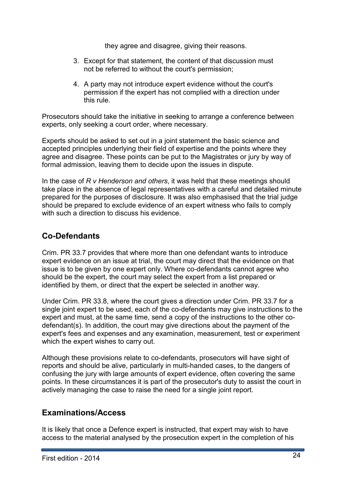they agree and disagree, giving their reasons.

- 3. Except for that statement, the content of that discussion must not be referred to without the court's permission;
- 4. A party may not introduce expert evidence without the court's permission if the expert has not complied with a direction under this rule.

Prosecutors should take the initiative in seeking to arrange a conference between experts, only seeking a court order, where necessary.

Experts should be asked to set out in a joint statement the basic science and accepted principles underlying their field of expertise and the points where they agree and disagree. These points can be put to the Magistrates or jury by way of formal admission, leaving them to decide upon the issues in dispute.

In the case of *R v Henderson and others*, it was held that these meetings should take place in the absence of legal representatives with a careful and detailed minute prepared for the purposes of disclosure. It was also emphasised that the trial judge should be prepared to exclude evidence of an expert witness who fails to comply with such a direction to discuss his evidence.

### **Co-Defendants**

Crim. PR 33.7 provides that where more than one defendant wants to introduce expert evidence on an issue at trial, the court may direct that the evidence on that issue is to be given by one expert only. Where co-defendants cannot agree who should be the expert, the court may select the expert from a list prepared or identified by them, or direct that the expert be selected in another way.

Under Crim. PR 33.8, where the court gives a direction under Crim. PR 33.7 for a single joint expert to be used, each of the co-defendants may give instructions to the expert and must, at the same time, send a copy of the instructions to the other codefendant(s). In addition, the court may give directions about the payment of the expert's fees and expenses and any examination, measurement, test or experiment which the expert wishes to carry out.

Although these provisions relate to co-defendants, prosecutors will have sight of reports and should be alive, particularly in multi-handed cases, to the dangers of confusing the jury with large amounts of expert evidence, often covering the same points. In these circumstances it is part of the prosecutor's duty to assist the court in actively managing the case to raise the need for a single joint report.

### **Examinations/Access**

It is likely that once a Defence expert is instructed, that expert may wish to have access to the material analysed by the prosecution expert in the completion of his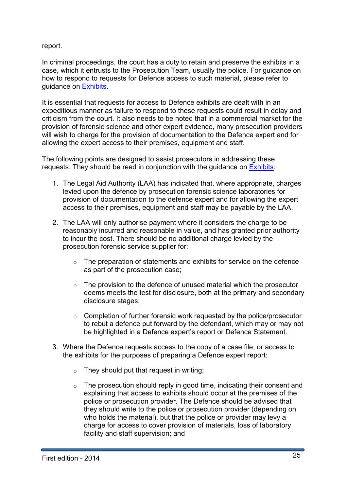report.

In criminal proceedings, the court has a duty to retain and preserve the exhibits in a case, which it entrusts to the Prosecution Team, usually the police. For guidance on how to respond to requests for Defence access to such material, please refer to guidance on [Exhibits.](http://www.cps.gov.uk/legal/d_to_g/exhibits/)

It is essential that requests for access to Defence exhibits are dealt with in an expeditious manner as failure to respond to these requests could result in delay and criticism from the court. It also needs to be noted that in a commercial market for the provision of forensic science and other expert evidence, many prosecution providers will wish to charge for the provision of documentation to the Defence expert and for allowing the expert access to their premises, equipment and staff.

The following points are designed to assist prosecutors in addressing these requests. They should be read in conjunction with the guidance on **Exhibits**:

- 1. The Legal Aid Authority (LAA) has indicated that, where appropriate, charges levied upon the defence by prosecution forensic science laboratories for provision of documentation to the defence expert and for allowing the expert access to their premises, equipment and staff may be payable by the LAA.
- 2. The LAA will only authorise payment where it considers the charge to be reasonably incurred and reasonable in value, and has granted prior authority to incur the cost. There should be no additional charge levied by the prosecution forensic service supplier for:
	- $\circ$  The preparation of statements and exhibits for service on the defence as part of the prosecution case;
	- $\circ$  The provision to the defence of unused material which the prosecutor deems meets the test for disclosure, both at the primary and secondary disclosure stages;
	- o Completion of further forensic work requested by the police/prosecutor to rebut a defence put forward by the defendant, which may or may not be highlighted in a Defence expert's report or Defence Statement.
- 3. Where the Defence requests access to the copy of a case file, or access to the exhibits for the purposes of preparing a Defence expert report:
	- $\circ$  They should put that request in writing;
	- o The prosecution should reply in good time, indicating their consent and explaining that access to exhibits should occur at the premises of the police or prosecution provider. The Defence should be advised that they should write to the police or prosecution provider (depending on who holds the material), but that the police or provider may levy a charge for access to cover provision of materials, loss of laboratory facility and staff supervision; and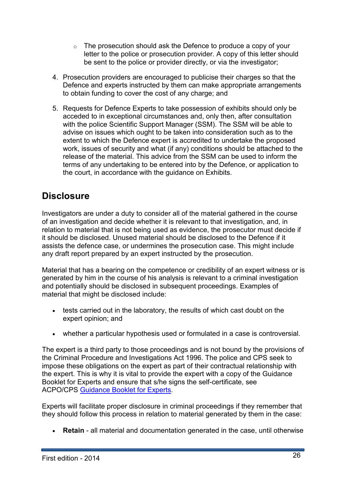- $\circ$  The prosecution should ask the Defence to produce a copy of your letter to the police or prosecution provider. A copy of this letter should be sent to the police or provider directly, or via the investigator;
- 4. Prosecution providers are encouraged to publicise their charges so that the Defence and experts instructed by them can make appropriate arrangements to obtain funding to cover the cost of any charge; and
- 5. Requests for Defence Experts to take possession of exhibits should only be acceded to in exceptional circumstances and, only then, after consultation with the police Scientific Support Manager (SSM). The SSM will be able to advise on issues which ought to be taken into consideration such as to the extent to which the Defence expert is accredited to undertake the proposed work, issues of security and what (if any) conditions should be attached to the release of the material. This advice from the SSM can be used to inform the terms of any undertaking to be entered into by the Defence, or application to the court, in accordance with the guidance on Exhibits.

# <span id="page-26-0"></span>**Disclosure**

Investigators are under a duty to consider all of the material gathered in the course of an investigation and decide whether it is relevant to that investigation, and, in relation to material that is not being used as evidence, the prosecutor must decide if it should be disclosed. Unused material should be disclosed to the Defence if it assists the defence case, or undermines the prosecution case. This might include any draft report prepared by an expert instructed by the prosecution.

Material that has a bearing on the competence or credibility of an expert witness or is generated by him in the course of his analysis is relevant to a criminal investigation and potentially should be disclosed in subsequent proceedings. Examples of material that might be disclosed include:

- tests carried out in the laboratory, the results of which cast doubt on the expert opinion; and
- whether a particular hypothesis used or formulated in a case is controversial.

The expert is a third party to those proceedings and is not bound by the provisions of the Criminal Procedure and Investigations Act 1996. The police and CPS seek to impose these obligations on the expert as part of their contractual relationship with the expert. This is why it is vital to provide the expert with a copy of the Guidance Booklet for Experts and ensure that s/he signs the self-certificate, see ACPO/CPS [Guidance Booklet for Experts.](http://www.cps.gov.uk/legal/d_to_g/disclosure_manual/annex_k_disclosure_manual/)

Experts will facilitate proper disclosure in criminal proceedings if they remember that they should follow this process in relation to material generated by them in the case:

• **Retain** - all material and documentation generated in the case, until otherwise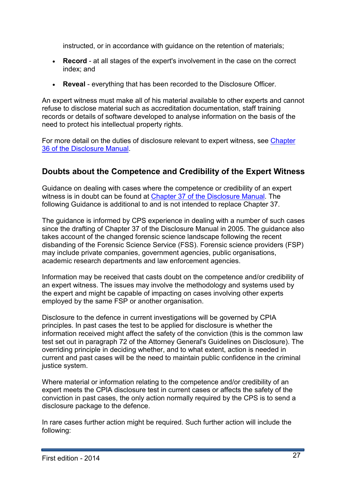instructed, or in accordance with guidance on the retention of materials;

- **Record** at all stages of the expert's involvement in the case on the correct index; and
- **Reveal** everything that has been recorded to the Disclosure Officer.

An expert witness must make all of his material available to other experts and cannot refuse to disclose material such as accreditation documentation, staff training records or details of software developed to analyse information on the basis of the need to protect his intellectual property rights.

For more detail on the duties of disclosure relevant to expert witness, see [Chapter](http://www.cps.gov.uk/legal/d_to_g/disclosure_manual/disclosure_manual_chapter_36/)  [36 of the Disclosure Manual.](http://www.cps.gov.uk/legal/d_to_g/disclosure_manual/disclosure_manual_chapter_36/)

### **Doubts about the Competence and Credibility of the Expert Witness**

Guidance on dealing with cases where the competence or credibility of an expert witness is in doubt can be found at [Chapter 37 of the Disclosure Manual.](http://www.cps.gov.uk/legal/d_to_g/disclosure_manual/disclosure_manual_chapter_37/) The following Guidance is additional to and is not intended to replace Chapter 37.

The guidance is informed by CPS experience in dealing with a number of such cases since the drafting of Chapter 37 of the Disclosure Manual in 2005. The guidance also takes account of the changed forensic science landscape following the recent disbanding of the Forensic Science Service (FSS). Forensic science providers (FSP) may include private companies, government agencies, public organisations, academic research departments and law enforcement agencies.

Information may be received that casts doubt on the competence and/or credibility of an expert witness. The issues may involve the methodology and systems used by the expert and might be capable of impacting on cases involving other experts employed by the same FSP or another organisation.

Disclosure to the defence in current investigations will be governed by CPIA principles. In past cases the test to be applied for disclosure is whether the information received might affect the safety of the conviction (this is the common law test set out in paragraph 72 of the Attorney General's Guidelines on Disclosure). The overriding principle in deciding whether, and to what extent, action is needed in current and past cases will be the need to maintain public confidence in the criminal justice system.

Where material or information relating to the competence and/or credibility of an expert meets the CPIA disclosure test in current cases or affects the safety of the conviction in past cases, the only action normally required by the CPS is to send a disclosure package to the defence.

In rare cases further action might be required. Such further action will include the following: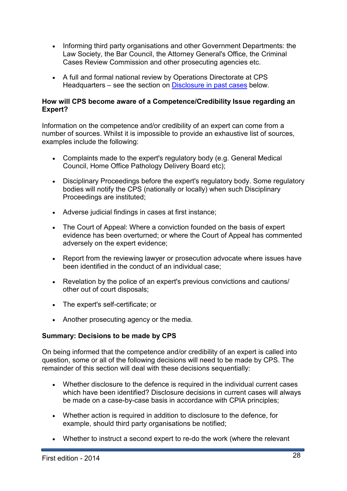- Informing third party organisations and other Government Departments: the Law Society, the Bar Council, the Attorney General's Office, the Criminal Cases Review Commission and other prosecuting agencies etc.
- A full and formal national review by Operations Directorate at CPS Headquarters – see the section on [Disclosure in past cases](#page-32-1) below.

#### **How will CPS become aware of a Competence/Credibility Issue regarding an Expert?**

Information on the competence and/or credibility of an expert can come from a number of sources. Whilst it is impossible to provide an exhaustive list of sources, examples include the following:

- Complaints made to the expert's regulatory body (e.g. General Medical Council, Home Office Pathology Delivery Board etc);
- Disciplinary Proceedings before the expert's regulatory body. Some regulatory bodies will notify the CPS (nationally or locally) when such Disciplinary Proceedings are instituted;
- Adverse judicial findings in cases at first instance;
- The Court of Appeal: Where a conviction founded on the basis of expert evidence has been overturned; or where the Court of Appeal has commented adversely on the expert evidence;
- Report from the reviewing lawyer or prosecution advocate where issues have been identified in the conduct of an individual case;
- Revelation by the police of an expert's previous convictions and cautions/ other out of court disposals;
- The expert's self-certificate; or
- Another prosecuting agency or the media.

#### <span id="page-28-0"></span>**Summary: Decisions to be made by CPS**

On being informed that the competence and/or credibility of an expert is called into question, some or all of the following decisions will need to be made by CPS. The remainder of this section will deal with these decisions sequentially:

- Whether disclosure to the defence is required in the individual current cases which have been identified? Disclosure decisions in current cases will always be made on a case-by-case basis in accordance with CPIA principles;
- Whether action is required in addition to disclosure to the defence, for example, should third party organisations be notified;
- Whether to instruct a second expert to re-do the work (where the relevant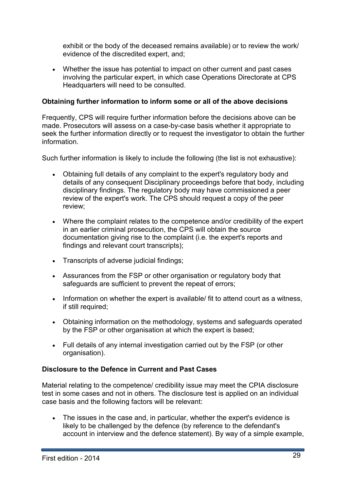exhibit or the body of the deceased remains available) or to review the work/ evidence of the discredited expert, and;

• Whether the issue has potential to impact on other current and past cases involving the particular expert, in which case Operations Directorate at CPS Headquarters will need to be consulted.

#### **Obtaining further information to inform some or all of the above decisions**

Frequently, CPS will require further information before the decisions above can be made. Prosecutors will assess on a case-by-case basis whether it appropriate to seek the further information directly or to request the investigator to obtain the further information.

Such further information is likely to include the following (the list is not exhaustive):

- Obtaining full details of any complaint to the expert's regulatory body and details of any consequent Disciplinary proceedings before that body, including disciplinary findings. The regulatory body may have commissioned a peer review of the expert's work. The CPS should request a copy of the peer review;
- Where the complaint relates to the competence and/or credibility of the expert in an earlier criminal prosecution, the CPS will obtain the source documentation giving rise to the complaint (i.e. the expert's reports and findings and relevant court transcripts);
- Transcripts of adverse judicial findings;
- Assurances from the FSP or other organisation or regulatory body that safeguards are sufficient to prevent the repeat of errors;
- Information on whether the expert is available/ fit to attend court as a witness, if still required;
- Obtaining information on the methodology, systems and safeguards operated by the FSP or other organisation at which the expert is based;
- Full details of any internal investigation carried out by the FSP (or other organisation).

#### <span id="page-29-0"></span>**Disclosure to the Defence in Current and Past Cases**

Material relating to the competence/ credibility issue may meet the CPIA disclosure test in some cases and not in others. The disclosure test is applied on an individual case basis and the following factors will be relevant:

• The issues in the case and, in particular, whether the expert's evidence is likely to be challenged by the defence (by reference to the defendant's account in interview and the defence statement). By way of a simple example,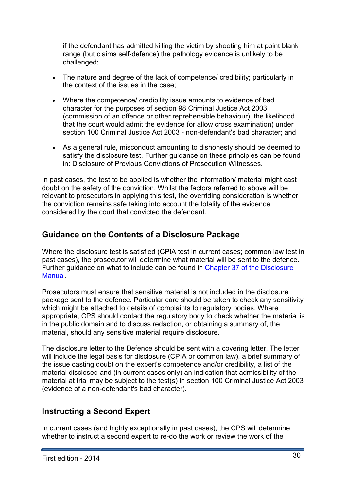if the defendant has admitted killing the victim by shooting him at point blank range (but claims self-defence) the pathology evidence is unlikely to be challenged;

- The nature and degree of the lack of competence/ credibility; particularly in the context of the issues in the case;
- Where the competence/ credibility issue amounts to evidence of bad character for the purposes of section 98 Criminal Justice Act 2003 (commission of an offence or other reprehensible behaviour), the likelihood that the court would admit the evidence (or allow cross examination) under section 100 Criminal Justice Act 2003 - non-defendant's bad character; and
- As a general rule, misconduct amounting to dishonesty should be deemed to satisfy the disclosure test. Further guidance on these principles can be found in: Disclosure of Previous Convictions of Prosecution Witnesses.

In past cases, the test to be applied is whether the information/ material might cast doubt on the safety of the conviction. Whilst the factors referred to above will be relevant to prosecutors in applying this test, the overriding consideration is whether the conviction remains safe taking into account the totality of the evidence considered by the court that convicted the defendant.

### **Guidance on the Contents of a Disclosure Package**

Where the disclosure test is satisfied (CPIA test in current cases; common law test in past cases), the prosecutor will determine what material will be sent to the defence. Further guidance on what to include can be found in [Chapter 37 of the Disclosure](http://www.cps.gov.uk/legal/d_to_g/disclosure_manual/disclosure_manual_chapter_37/)  [Manual.](http://www.cps.gov.uk/legal/d_to_g/disclosure_manual/disclosure_manual_chapter_37/)

Prosecutors must ensure that sensitive material is not included in the disclosure package sent to the defence. Particular care should be taken to check any sensitivity which might be attached to details of complaints to regulatory bodies. Where appropriate, CPS should contact the regulatory body to check whether the material is in the public domain and to discuss redaction, or obtaining a summary of, the material, should any sensitive material require disclosure.

The disclosure letter to the Defence should be sent with a covering letter. The letter will include the legal basis for disclosure (CPIA or common law), a brief summary of the issue casting doubt on the expert's competence and/or credibility, a list of the material disclosed and (in current cases only) an indication that admissibility of the material at trial may be subject to the test(s) in section 100 Criminal Justice Act 2003 (evidence of a non-defendant's bad character).

### **Instructing a Second Expert**

In current cases (and highly exceptionally in past cases), the CPS will determine whether to instruct a second expert to re-do the work or review the work of the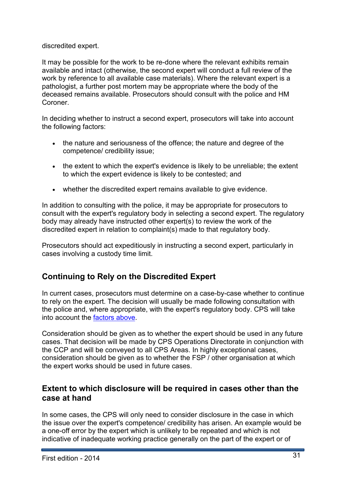#### discredited expert.

It may be possible for the work to be re-done where the relevant exhibits remain available and intact (otherwise, the second expert will conduct a full review of the work by reference to all available case materials). Where the relevant expert is a pathologist, a further post mortem may be appropriate where the body of the deceased remains available. Prosecutors should consult with the police and HM Coroner.

In deciding whether to instruct a second expert, prosecutors will take into account the following factors:

- the nature and seriousness of the offence; the nature and degree of the competence/ credibility issue;
- the extent to which the expert's evidence is likely to be unreliable; the extent to which the expert evidence is likely to be contested; and
- whether the discredited expert remains available to give evidence.

In addition to consulting with the police, it may be appropriate for prosecutors to consult with the expert's regulatory body in selecting a second expert. The regulatory body may already have instructed other expert(s) to review the work of the discredited expert in relation to complaint(s) made to that regulatory body.

Prosecutors should act expeditiously in instructing a second expert, particularly in cases involving a custody time limit.

### **Continuing to Rely on the Discredited Expert**

In current cases, prosecutors must determine on a case-by-case whether to continue to rely on the expert. The decision will usually be made following consultation with the police and, where appropriate, with the expert's regulatory body. CPS will take into account the [factors above.](#page-28-0)

Consideration should be given as to whether the expert should be used in any future cases. That decision will be made by CPS Operations Directorate in conjunction with the CCP and will be conveyed to all CPS Areas. In highly exceptional cases, consideration should be given as to whether the FSP / other organisation at which the expert works should be used in future cases.

### **Extent to which disclosure will be required in cases other than the case at hand**

In some cases, the CPS will only need to consider disclosure in the case in which the issue over the expert's competence/ credibility has arisen. An example would be a one-off error by the expert which is unlikely to be repeated and which is not indicative of inadequate working practice generally on the part of the expert or of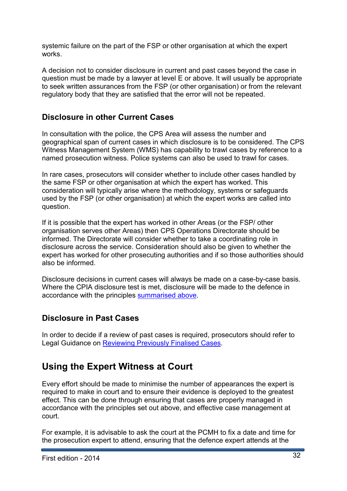systemic failure on the part of the FSP or other organisation at which the expert works.

A decision not to consider disclosure in current and past cases beyond the case in question must be made by a lawyer at level E or above. It will usually be appropriate to seek written assurances from the FSP (or other organisation) or from the relevant regulatory body that they are satisfied that the error will not be repeated.

### **Disclosure in other Current Cases**

In consultation with the police, the CPS Area will assess the number and geographical span of current cases in which disclosure is to be considered. The CPS Witness Management System (WMS) has capability to trawl cases by reference to a named prosecution witness. Police systems can also be used to trawl for cases.

In rare cases, prosecutors will consider whether to include other cases handled by the same FSP or other organisation at which the expert has worked. This consideration will typically arise where the methodology, systems or safeguards used by the FSP (or other organisation) at which the expert works are called into question.

If it is possible that the expert has worked in other Areas (or the FSP/ other organisation serves other Areas) then CPS Operations Directorate should be informed. The Directorate will consider whether to take a coordinating role in disclosure across the service. Consideration should also be given to whether the expert has worked for other prosecuting authorities and if so those authorities should also be informed.

Disclosure decisions in current cases will always be made on a case-by-case basis. Where the CPIA disclosure test is met, disclosure will be made to the defence in accordance with the principles [summarised](#page-29-0) above.

### <span id="page-32-1"></span>**Disclosure in Past Cases**

In order to decide if a review of past cases is required, prosecutors should refer to Legal Guidance on [Reviewing Previously Finalised Cases.](http://www.cps.gov.uk/legal/p_to_r/reviewing_previously_finalised_cases_-_cps_policy/)

# <span id="page-32-0"></span>**Using the Expert Witness at Court**

Every effort should be made to minimise the number of appearances the expert is required to make in court and to ensure their evidence is deployed to the greatest effect. This can be done through ensuring that cases are properly managed in accordance with the principles set out above, and effective case management at court.

For example, it is advisable to ask the court at the PCMH to fix a date and time for the prosecution expert to attend, ensuring that the defence expert attends at the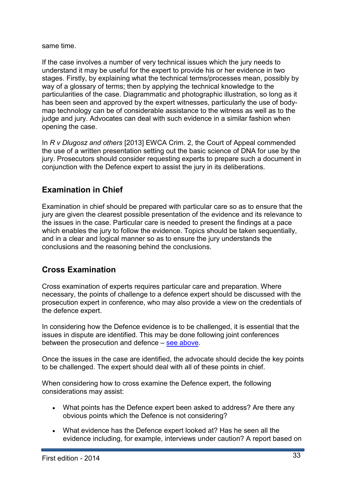same time.

If the case involves a number of very technical issues which the jury needs to understand it may be useful for the expert to provide his or her evidence in two stages. Firstly, by explaining what the technical terms/processes mean, possibly by way of a glossary of terms; then by applying the technical knowledge to the particularities of the case. Diagrammatic and photographic illustration, so long as it has been seen and approved by the expert witnesses, particularly the use of bodymap technology can be of considerable assistance to the witness as well as to the judge and jury. Advocates can deal with such evidence in a similar fashion when opening the case.

In *R v Dlugosz and others* [2013] EWCA Crim. 2, the Court of Appeal commended the use of a written presentation setting out the basic science of DNA for use by the jury. Prosecutors should consider requesting experts to prepare such a document in conjunction with the Defence expert to assist the jury in its deliberations.

### **Examination in Chief**

Examination in chief should be prepared with particular care so as to ensure that the jury are given the clearest possible presentation of the evidence and its relevance to the issues in the case. Particular care is needed to present the findings at a pace which enables the jury to follow the evidence. Topics should be taken sequentially, and in a clear and logical manner so as to ensure the jury understands the conclusions and the reasoning behind the conclusions.

### **Cross Examination**

Cross examination of experts requires particular care and preparation. Where necessary, the points of challenge to a defence expert should be discussed with the prosecution expert in conference, who may also provide a view on the credentials of the defence expert.

In considering how the Defence evidence is to be challenged, it is essential that the issues in dispute are identified. This may be done following joint conferences between the prosecution and defence – [see above.](#page-23-1)

Once the issues in the case are identified, the advocate should decide the key points to be challenged. The expert should deal with all of these points in chief.

When considering how to cross examine the Defence expert, the following considerations may assist:

- What points has the Defence expert been asked to address? Are there any obvious points which the Defence is not considering?
- What evidence has the Defence expert looked at? Has he seen all the evidence including, for example, interviews under caution? A report based on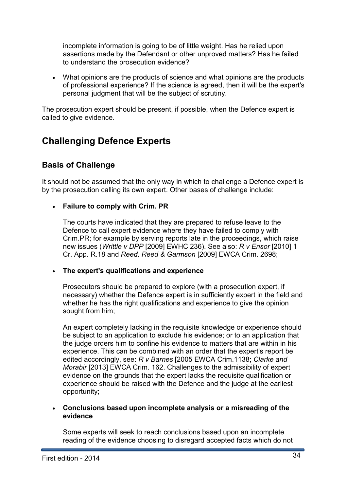incomplete information is going to be of little weight. Has he relied upon assertions made by the Defendant or other unproved matters? Has he failed to understand the prosecution evidence?

• What opinions are the products of science and what opinions are the products of professional experience? If the science is agreed, then it will be the expert's personal judgment that will be the subject of scrutiny.

The prosecution expert should be present, if possible, when the Defence expert is called to give evidence.

# <span id="page-34-0"></span>**Challenging Defence Experts**

### **Basis of Challenge**

It should not be assumed that the only way in which to challenge a Defence expert is by the prosecution calling its own expert. Other bases of challenge include:

#### • **Failure to comply with Crim. PR**

The courts have indicated that they are prepared to refuse leave to the Defence to call expert evidence where they have failed to comply with Crim.PR; for example by serving reports late in the proceedings, which raise new issues (*Writtle v DPP* [2009] EWHC 236). See also: *R v Ensor* [2010] 1 Cr. App. R.18 and *Reed, Reed & Garmson* [2009] EWCA Crim. 2698;

#### • **The expert's qualifications and experience**

Prosecutors should be prepared to explore (with a prosecution expert, if necessary) whether the Defence expert is in sufficiently expert in the field and whether he has the right qualifications and experience to give the opinion sought from him;

An expert completely lacking in the requisite knowledge or experience should be subject to an application to exclude his evidence; or to an application that the judge orders him to confine his evidence to matters that are within in his experience. This can be combined with an order that the expert's report be edited accordingly, see: *R v Barnes* [2005 EWCA Crim.1138; *Clarke and Morabir* [2013] EWCA Crim. 162. Challenges to the admissibility of expert evidence on the grounds that the expert lacks the requisite qualification or experience should be raised with the Defence and the judge at the earliest opportunity;

#### • **Conclusions based upon incomplete analysis or a misreading of the evidence**

Some experts will seek to reach conclusions based upon an incomplete reading of the evidence choosing to disregard accepted facts which do not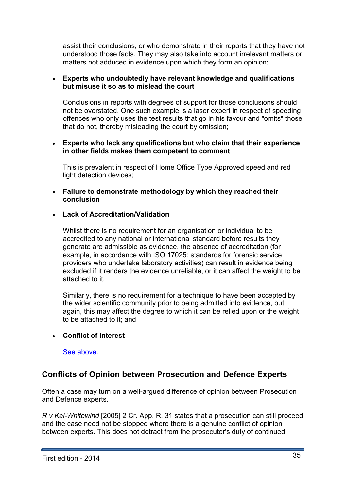assist their conclusions, or who demonstrate in their reports that they have not understood those facts. They may also take into account irrelevant matters or matters not adduced in evidence upon which they form an opinion;

#### • **Experts who undoubtedly have relevant knowledge and qualifications but misuse it so as to mislead the court**

Conclusions in reports with degrees of support for those conclusions should not be overstated. One such example is a laser expert in respect of speeding offences who only uses the test results that go in his favour and "omits" those that do not, thereby misleading the court by omission;

#### • **Experts who lack any qualifications but who claim that their experience in other fields makes them competent to comment**

This is prevalent in respect of Home Office Type Approved speed and red light detection devices;

• **Failure to demonstrate methodology by which they reached their conclusion**

#### • **Lack of Accreditation/Validation**

Whilst there is no requirement for an organisation or individual to be accredited to any national or international standard before results they generate are admissible as evidence, the absence of accreditation (for example, in accordance with ISO 17025: standards for forensic service providers who undertake laboratory activities) can result in evidence being excluded if it renders the evidence unreliable, or it can affect the weight to be attached to it.

Similarly, there is no requirement for a technique to have been accepted by the wider scientific community prior to being admitted into evidence, but again, this may affect the degree to which it can be relied upon or the weight to be attached to it; and

#### • **Conflict of interest**

#### [See above.](#page-6-0)

### **Conflicts of Opinion between Prosecution and Defence Experts**

Often a case may turn on a well-argued difference of opinion between Prosecution and Defence experts.

*R v Kai-Whitewind* [2005] 2 Cr. App. R. 31 states that a prosecution can still proceed and the case need not be stopped where there is a genuine conflict of opinion between experts. This does not detract from the prosecutor's duty of continued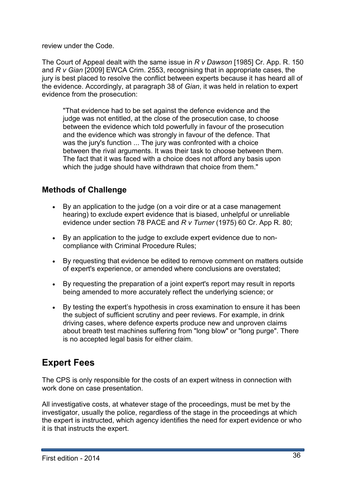review under the Code.

The Court of Appeal dealt with the same issue in *R v Dawson* [1985] Cr. App. R. 150 and *R v Gian* [2009] EWCA Crim. 2553, recognising that in appropriate cases, the jury is best placed to resolve the conflict between experts because it has heard all of the evidence. Accordingly, at paragraph 38 of *Gian*, it was held in relation to expert evidence from the prosecution:

"That evidence had to be set against the defence evidence and the judge was not entitled, at the close of the prosecution case, to choose between the evidence which told powerfully in favour of the prosecution and the evidence which was strongly in favour of the defence. That was the jury's function ... The jury was confronted with a choice between the rival arguments. It was their task to choose between them. The fact that it was faced with a choice does not afford any basis upon which the judge should have withdrawn that choice from them."

### **Methods of Challenge**

- By an application to the judge (on a voir dire or at a case management hearing) to exclude expert evidence that is biased, unhelpful or unreliable evidence under section 78 PACE and *R v Turner* (1975) 60 Cr. App R. 80;
- By an application to the judge to exclude expert evidence due to noncompliance with Criminal Procedure Rules;
- By requesting that evidence be edited to remove comment on matters outside of expert's experience, or amended where conclusions are overstated;
- By requesting the preparation of a joint expert's report may result in reports being amended to more accurately reflect the underlying science; or
- By testing the expert's hypothesis in cross examination to ensure it has been the subject of sufficient scrutiny and peer reviews. For example, in drink driving cases, where defence experts produce new and unproven claims about breath test machines suffering from "long blow" or "long purge". There is no accepted legal basis for either claim.

# <span id="page-36-0"></span>**Expert Fees**

The CPS is only responsible for the costs of an expert witness in connection with work done on case presentation.

All investigative costs, at whatever stage of the proceedings, must be met by the investigator, usually the police, regardless of the stage in the proceedings at which the expert is instructed, which agency identifies the need for expert evidence or who it is that instructs the expert.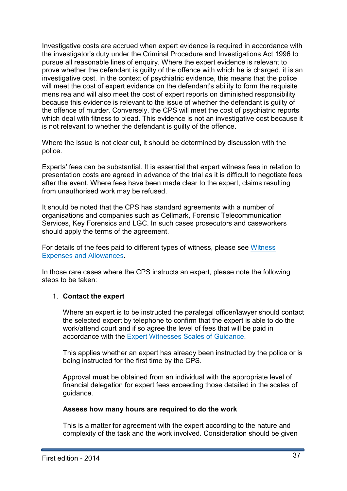Investigative costs are accrued when expert evidence is required in accordance with the investigator's duty under the Criminal Procedure and Investigations Act 1996 to pursue all reasonable lines of enquiry. Where the expert evidence is relevant to prove whether the defendant is guilty of the offence with which he is charged, it is an investigative cost. In the context of psychiatric evidence, this means that the police will meet the cost of expert evidence on the defendant's ability to form the requisite mens rea and will also meet the cost of expert reports on diminished responsibility because this evidence is relevant to the issue of whether the defendant is guilty of the offence of murder. Conversely, the CPS will meet the cost of psychiatric reports which deal with fitness to plead. This evidence is not an investigative cost because it is not relevant to whether the defendant is guilty of the offence.

Where the issue is not clear cut, it should be determined by discussion with the police.

Experts' fees can be substantial. It is essential that expert witness fees in relation to presentation costs are agreed in advance of the trial as it is difficult to negotiate fees after the event. Where fees have been made clear to the expert, claims resulting from unauthorised work may be refused.

It should be noted that the CPS has standard agreements with a number of organisations and companies such as Cellmark, Forensic Telecommunication Services, Key Forensics and LGC. In such cases prosecutors and caseworkers should apply the terms of the agreement.

For details of the fees paid to different types of witness, please see [Witness](file:///Users/jenniesmith/Library/Containers/com.apple.mail/Data/Library/Mail%20Downloads/CDE29D09-106B-4CFA-A66B-5961EDB98708//LDNRCTFS04/sites/strategy_policy/100022/Public/View%20Chapter.aspx%3FChapterID=288&SectionID=4011&ChapterName=Witness%20Expenses%20and%20Allowances&SectionName=Headlines&Protect=No%20Protective%20Marking)  [Expenses and Allowances.](file:///Users/jenniesmith/Library/Containers/com.apple.mail/Data/Library/Mail%20Downloads/CDE29D09-106B-4CFA-A66B-5961EDB98708//LDNRCTFS04/sites/strategy_policy/100022/Public/View%20Chapter.aspx%3FChapterID=288&SectionID=4011&ChapterName=Witness%20Expenses%20and%20Allowances&SectionName=Headlines&Protect=No%20Protective%20Marking)

In those rare cases where the CPS instructs an expert, please note the following steps to be taken:

#### 1. **Contact the expert**

Where an expert is to be instructed the paralegal officer/lawyer should contact the selected expert by telephone to confirm that the expert is able to do the work/attend court and if so agree the level of fees that will be paid in accordance with the [Expert Witnesses Scales of Guidance.](http://infonet.cps.gov.uk/infonet/BusinessDevelopment%20Documents/Expert_Witnesses_-_Scales_of_guidance.doc)

This applies whether an expert has already been instructed by the police or is being instructed for the first time by the CPS.

Approval **must** be obtained from an individual with the appropriate level of financial delegation for expert fees exceeding those detailed in the scales of guidance.

#### **Assess how many hours are required to do the work**

This is a matter for agreement with the expert according to the nature and complexity of the task and the work involved. Consideration should be given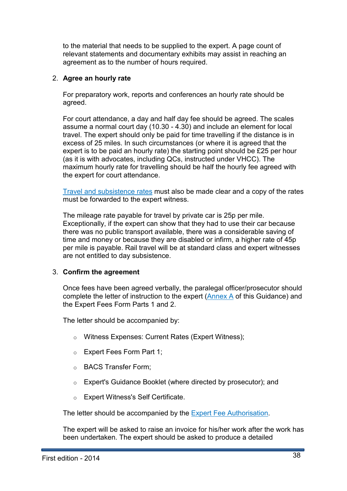to the material that needs to be supplied to the expert. A page count of relevant statements and documentary exhibits may assist in reaching an agreement as to the number of hours required.

#### 2. **Agree an hourly rate**

For preparatory work, reports and conferences an hourly rate should be agreed.

For court attendance, a day and half day fee should be agreed. The scales assume a normal court day (10.30 - 4.30) and include an element for local travel. The expert should only be paid for time travelling if the distance is in excess of 25 miles. In such circumstances (or where it is agreed that the expert is to be paid an hourly rate) the starting point should be £25 per hour (as it is with advocates, including QCs, instructed under VHCC). The maximum hourly rate for travelling should be half the hourly fee agreed with the expert for court attendance.

[Travel and subsistence rates](http://infonet.cps.gov.uk/infonet/BusinessDevelopment%20Documents/Expert_witness_-_expenses_current_rates.doc) must also be made clear and a copy of the rates must be forwarded to the expert witness.

The mileage rate payable for travel by private car is 25p per mile. Exceptionally, if the expert can show that they had to use their car because there was no public transport available, there was a considerable saving of time and money or because they are disabled or infirm, a higher rate of 45p per mile is payable. Rail travel will be at standard class and expert witnesses are not entitled to day subsistence.

#### 3. **Confirm the agreement**

Once fees have been agreed verbally, the paralegal officer/prosecutor should complete the letter of instruction to the expert [\(Annex A](file:///Users/jenniesmith/Library/Containers/com.apple.mail/Data/Library/Mail%20Downloads/CDE29D09-106B-4CFA-A66B-5961EDB98708//LDNRCTFS04/sites/strategy_policy/100022/Public/View%20Chapter.aspx%3FChapterID=417&SectionID=4825&ChapterName=Expert%20Evidence&SectionName=Annex%20A&Protect=Official) of this Guidance) and the Expert Fees Form Parts 1 and 2.

The letter should be accompanied by:

- o Witness Expenses: Current Rates (Expert Witness);
- o Expert Fees Form Part 1;
- o BACS Transfer Form;
- o Expert's Guidance Booklet (where directed by prosecutor); and
- o Expert Witness's Self Certificate.

The letter should be accompanied by the [Expert Fee Authorisation.](http://infonet.cps.gov.uk/infonet/BusinessDevelopment%20Documents/Expert_fees.doc)

The expert will be asked to raise an invoice for his/her work after the work has been undertaken. The expert should be asked to produce a detailed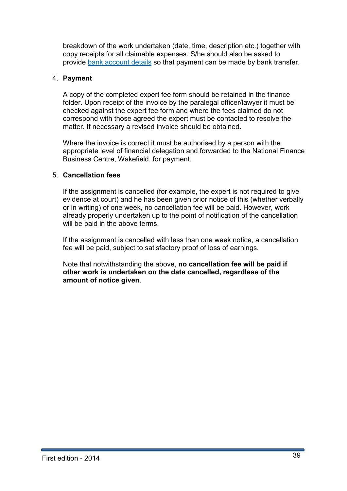breakdown of the work undertaken (date, time, description etc.) together with copy receipts for all claimable expenses. S/he should also be asked to provide [bank account details](http://infonet.cps.gov.uk/infonet/Finance%20Documents/Bank_Account_Amendment_Form_v1.xls) so that payment can be made by bank transfer.

#### 4. **Payment**

A copy of the completed expert fee form should be retained in the finance folder. Upon receipt of the invoice by the paralegal officer/lawyer it must be checked against the expert fee form and where the fees claimed do not correspond with those agreed the expert must be contacted to resolve the matter. If necessary a revised invoice should be obtained.

Where the invoice is correct it must be authorised by a person with the appropriate level of financial delegation and forwarded to the National Finance Business Centre, Wakefield, for payment.

#### 5. **Cancellation fees**

If the assignment is cancelled (for example, the expert is not required to give evidence at court) and he has been given prior notice of this (whether verbally or in writing) of one week, no cancellation fee will be paid. However, work already properly undertaken up to the point of notification of the cancellation will be paid in the above terms.

If the assignment is cancelled with less than one week notice, a cancellation fee will be paid, subject to satisfactory proof of loss of earnings.

Note that notwithstanding the above, **no cancellation fee will be paid if other work is undertaken on the date cancelled, regardless of the amount of notice given**.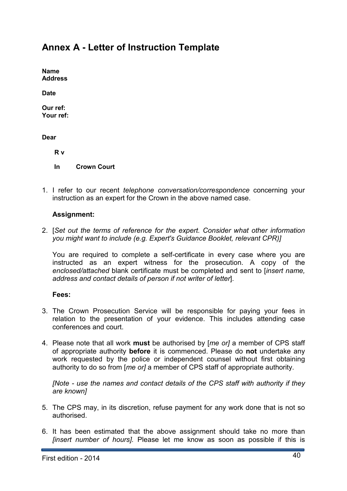### <span id="page-40-0"></span>**Annex A - Letter of Instruction Template**

**Name Address**

**Date**

**Our ref: Your ref:**

#### **Dear**

**R v** 

- **In Crown Court**
- 1. I refer to our recent *telephone conversation/correspondence* concerning your instruction as an expert for the Crown in the above named case.

#### **Assignment:**

2. [*Set out the terms of reference for the expert. Consider what other information you might want to include (e.g. Expert's Guidance Booklet, relevant CPR)]*

You are required to complete a self-certificate in every case where you are instructed as an expert witness for the prosecution. A copy of the *enclosed/attached* blank certificate must be completed and sent to [*insert name, address and contact details of person if not writer of letter*].

#### **Fees:**

- 3. The Crown Prosecution Service will be responsible for paying your fees in relation to the presentation of your evidence. This includes attending case conferences and court.
- 4. Please note that all work **must** be authorised by [*me or]* a member of CPS staff of appropriate authority **before** it is commenced. Please do **not** undertake any work requested by the police or independent counsel without first obtaining authority to do so from [*me or]* a member of CPS staff of appropriate authority.

*[Note - use the names and contact details of the CPS staff with authority if they are known]*

- 5. The CPS may, in its discretion, refuse payment for any work done that is not so authorised.
- 6. It has been estimated that the above assignment should take no more than *[insert number of hours].* Please let me know as soon as possible if this is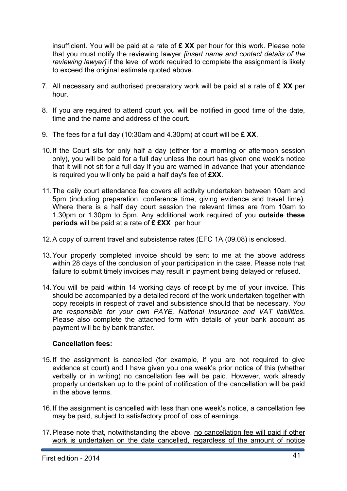insufficient. You will be paid at a rate of **£ XX** per hour for this work. Please note that you must notify the reviewing lawyer *[insert name and contact details of the reviewing lawyer]* if the level of work required to complete the assignment is likely to exceed the original estimate quoted above.

- 7. All necessary and authorised preparatory work will be paid at a rate of **£ XX** per hour.
- 8. If you are required to attend court you will be notified in good time of the date, time and the name and address of the court.
- 9. The fees for a full day (10:30am and 4.30pm) at court will be **£ XX**.
- 10.If the Court sits for only half a day (either for a morning or afternoon session only), you will be paid for a full day unless the court has given one week's notice that it will not sit for a full day If you are warned in advance that your attendance is required you will only be paid a half day's fee of **£XX**.
- 11.The daily court attendance fee covers all activity undertaken between 10am and 5pm (including preparation, conference time, giving evidence and travel time). Where there is a half day court session the relevant times are from 10am to 1.30pm or 1.30pm to 5pm. Any additional work required of you **outside these periods** will be paid at a rate of **£ £XX** per hour
- 12.A copy of current travel and subsistence rates (EFC 1A (09.08) is enclosed.
- 13.Your properly completed invoice should be sent to me at the above address within 28 days of the conclusion of your participation in the case. Please note that failure to submit timely invoices may result in payment being delayed or refused.
- 14.You will be paid within 14 working days of receipt by me of your invoice. This should be accompanied by a detailed record of the work undertaken together with copy receipts in respect of travel and subsistence should that be necessary. *You are responsible for your own PAYE, National Insurance and VAT liabilities*. Please also complete the attached form with details of your bank account as payment will be by bank transfer.

#### **Cancellation fees:**

- 15.If the assignment is cancelled (for example, if you are not required to give evidence at court) and I have given you one week's prior notice of this (whether verbally or in writing) no cancellation fee will be paid. However, work already properly undertaken up to the point of notification of the cancellation will be paid in the above terms.
- 16.If the assignment is cancelled with less than one week's notice, a cancellation fee may be paid, subject to satisfactory proof of loss of earnings.
- 17.Please note that, notwithstanding the above, no cancellation fee will paid if other work is undertaken on the date cancelled, regardless of the amount of notice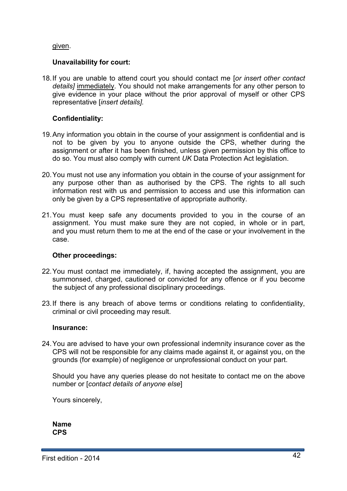#### given.

#### **Unavailability for court:**

18.If you are unable to attend court you should contact me [*or insert other contact details]* immediately. You should not make arrangements for any other person to give evidence in your place without the prior approval of myself or other CPS representative [*insert details].*

#### **Confidentiality:**

- 19.Any information you obtain in the course of your assignment is confidential and is not to be given by you to anyone outside the CPS, whether during the assignment or after it has been finished, unless given permission by this office to do so. You must also comply with current *UK* Data Protection Act legislation.
- 20.You must not use any information you obtain in the course of your assignment for any purpose other than as authorised by the CPS. The rights to all such information rest with us and permission to access and use this information can only be given by a CPS representative of appropriate authority.
- 21.You must keep safe any documents provided to you in the course of an assignment. You must make sure they are not copied, in whole or in part, and you must return them to me at the end of the case or your involvement in the case.

#### **Other proceedings:**

- 22.You must contact me immediately, if, having accepted the assignment, you are summonsed, charged, cautioned or convicted for any offence or if you become the subject of any professional disciplinary proceedings.
- 23.If there is any breach of above terms or conditions relating to confidentiality, criminal or civil proceeding may result.

#### **Insurance:**

24.You are advised to have your own professional indemnity insurance cover as the CPS will not be responsible for any claims made against it, or against you, on the grounds (for example) of negligence or unprofessional conduct on your part.

Should you have any queries please do not hesitate to contact me on the above number or [*contact details of anyone else*]

Yours sincerely,

**Name CPS**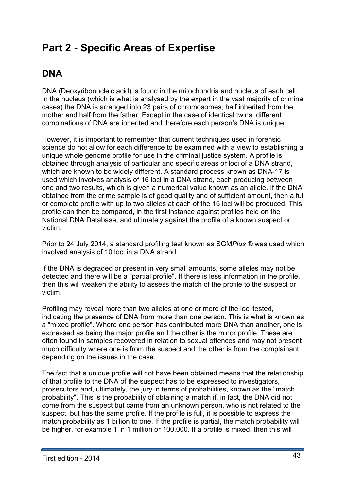# <span id="page-43-0"></span>**Part 2 - Specific Areas of Expertise**

# **DNA**

DNA (Deoxyribonucleic acid) is found in the mitochondria and nucleus of each cell. In the nucleus (which is what is analysed by the expert in the vast majority of criminal cases) the DNA is arranged into 23 pairs of chromosomes; half inherited from the mother and half from the father. Except in the case of identical twins, different combinations of DNA are inherited and therefore each person's DNA is unique.

However, it is important to remember that current techniques used in forensic science do not allow for each difference to be examined with a view to establishing a unique whole genome profile for use in the criminal justice system. A profile is obtained through analysis of particular and specific areas or loci of a DNA strand, which are known to be widely different. A standard process known as DNA-17 is used which involves analysis of 16 loci in a DNA strand, each producing between one and two results, which is given a numerical value known as an allele. If the DNA obtained from the crime sample is of good quality and of sufficient amount, then a full or complete profile with up to two alleles at each of the 16 loci will be produced. This profile can then be compared, in the first instance against profiles held on the National DNA Database, and ultimately against the profile of a known suspect or victim.

Prior to 24 July 2014, a standard profiling test known as SGM*Plus* ® was used which involved analysis of 10 loci in a DNA strand.

If the DNA is degraded or present in very small amounts, some alleles may not be detected and there will be a "partial profile". If there is less information in the profile, then this will weaken the ability to assess the match of the profile to the suspect or victim.

Profiling may reveal more than two alleles at one or more of the loci tested, indicating the presence of DNA from more than one person. This is what is known as a "mixed profile". Where one person has contributed more DNA than another, one is expressed as being the major profile and the other is the minor profile. These are often found in samples recovered in relation to sexual offences and may not present much difficulty where one is from the suspect and the other is from the complainant, depending on the issues in the case.

The fact that a unique profile will not have been obtained means that the relationship of that profile to the DNA of the suspect has to be expressed to investigators, prosecutors and, ultimately, the jury in terms of probabilities, known as the "match probability". This is the probability of obtaining a match if, in fact, the DNA did not come from the suspect but came from an unknown person, who is not related to the suspect, but has the same profile. If the profile is full, it is possible to express the match probability as 1 billion to one. If the profile is partial, the match probability will be higher, for example 1 in 1 million or 100,000. If a profile is mixed, then this will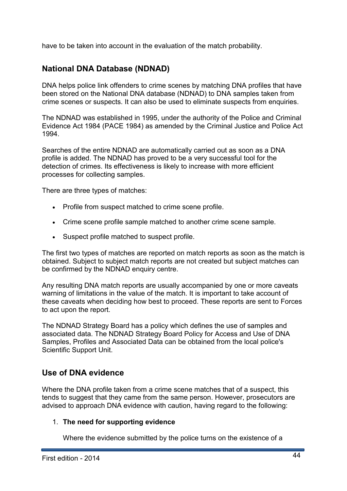have to be taken into account in the evaluation of the match probability.

### **National DNA Database (NDNAD)**

DNA helps police link offenders to crime scenes by matching DNA profiles that have been stored on the National DNA database (NDNAD) to DNA samples taken from crime scenes or suspects. It can also be used to eliminate suspects from enquiries.

The NDNAD was established in 1995, under the authority of the Police and Criminal Evidence Act 1984 (PACE 1984) as amended by the Criminal Justice and Police Act 1994.

Searches of the entire NDNAD are automatically carried out as soon as a DNA profile is added. The NDNAD has proved to be a very successful tool for the detection of crimes. Its effectiveness is likely to increase with more efficient processes for collecting samples.

There are three types of matches:

- Profile from suspect matched to crime scene profile.
- Crime scene profile sample matched to another crime scene sample.
- Suspect profile matched to suspect profile.

The first two types of matches are reported on match reports as soon as the match is obtained. Subject to subject match reports are not created but subject matches can be confirmed by the NDNAD enquiry centre.

Any resulting DNA match reports are usually accompanied by one or more caveats warning of limitations in the value of the match. It is important to take account of these caveats when deciding how best to proceed. These reports are sent to Forces to act upon the report.

The NDNAD Strategy Board has a policy which defines the use of samples and associated data. The NDNAD Strategy Board Policy for Access and Use of DNA Samples, Profiles and Associated Data can be obtained from the local police's Scientific Support Unit.

### **Use of DNA evidence**

Where the DNA profile taken from a crime scene matches that of a suspect, this tends to suggest that they came from the same person. However, prosecutors are advised to approach DNA evidence with caution, having regard to the following:

#### 1. **The need for supporting evidence**

Where the evidence submitted by the police turns on the existence of a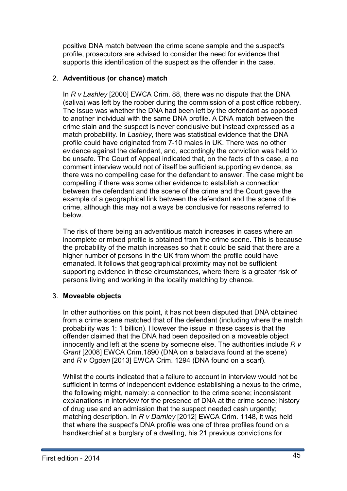positive DNA match between the crime scene sample and the suspect's profile, prosecutors are advised to consider the need for evidence that supports this identification of the suspect as the offender in the case.

#### 2. **Adventitious (or chance) match**

In *R v Lashley* [2000] EWCA Crim. 88, there was no dispute that the DNA (saliva) was left by the robber during the commission of a post office robbery. The issue was whether the DNA had been left by the defendant as opposed to another individual with the same DNA profile. A DNA match between the crime stain and the suspect is never conclusive but instead expressed as a match probability. In *Lashley*, there was statistical evidence that the DNA profile could have originated from 7-10 males in UK. There was no other evidence against the defendant, and, accordingly the conviction was held to be unsafe. The Court of Appeal indicated that, on the facts of this case, a no comment interview would not of itself be sufficient supporting evidence, as there was no compelling case for the defendant to answer. The case might be compelling if there was some other evidence to establish a connection between the defendant and the scene of the crime and the Court gave the example of a geographical link between the defendant and the scene of the crime, although this may not always be conclusive for reasons referred to below.

The risk of there being an adventitious match increases in cases where an incomplete or mixed profile is obtained from the crime scene. This is because the probability of the match increases so that it could be said that there are a higher number of persons in the UK from whom the profile could have emanated. It follows that geographical proximity may not be sufficient supporting evidence in these circumstances, where there is a greater risk of persons living and working in the locality matching by chance.

#### 3. **Moveable objects**

In other authorities on this point, it has not been disputed that DNA obtained from a crime scene matched that of the defendant (including where the match probability was 1: 1 billion). However the issue in these cases is that the offender claimed that the DNA had been deposited on a moveable object innocently and left at the scene by someone else. The authorities include *R v Grant* [2008] EWCA Crim.1890 (DNA on a balaclava found at the scene) and *R v Ogden* [2013] EWCA Crim. 1294 (DNA found on a scarf).

Whilst the courts indicated that a failure to account in interview would not be sufficient in terms of independent evidence establishing a nexus to the crime, the following might, namely: a connection to the crime scene; inconsistent explanations in interview for the presence of DNA at the crime scene; history of drug use and an admission that the suspect needed cash urgently; matching description. In *R v Darnley* [2012] EWCA Crim. 1148, it was held that where the suspect's DNA profile was one of three profiles found on a handkerchief at a burglary of a dwelling, his 21 previous convictions for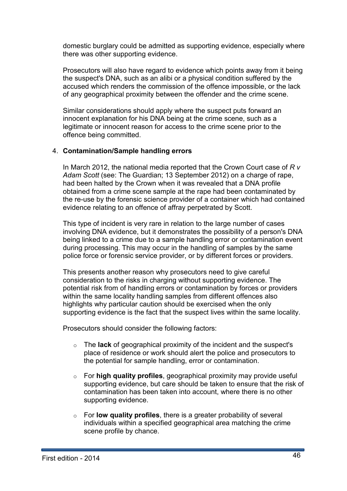domestic burglary could be admitted as supporting evidence, especially where there was other supporting evidence.

Prosecutors will also have regard to evidence which points away from it being the suspect's DNA, such as an alibi or a physical condition suffered by the accused which renders the commission of the offence impossible, or the lack of any geographical proximity between the offender and the crime scene.

Similar considerations should apply where the suspect puts forward an innocent explanation for his DNA being at the crime scene, such as a legitimate or innocent reason for access to the crime scene prior to the offence being committed.

#### 4. **Contamination/Sample handling errors**

In March 2012, the national media reported that the Crown Court case of *R v Adam Scott* (see: The Guardian; 13 September 2012) on a charge of rape, had been halted by the Crown when it was revealed that a DNA profile obtained from a crime scene sample at the rape had been contaminated by the re-use by the forensic science provider of a container which had contained evidence relating to an offence of affray perpetrated by Scott.

This type of incident is very rare in relation to the large number of cases involving DNA evidence, but it demonstrates the possibility of a person's DNA being linked to a crime due to a sample handling error or contamination event during processing. This may occur in the handling of samples by the same police force or forensic service provider, or by different forces or providers.

This presents another reason why prosecutors need to give careful consideration to the risks in charging without supporting evidence. The potential risk from of handling errors or contamination by forces or providers within the same locality handling samples from different offences also highlights why particular caution should be exercised when the only supporting evidence is the fact that the suspect lives within the same locality.

Prosecutors should consider the following factors:

- o The **lack** of geographical proximity of the incident and the suspect's place of residence or work should alert the police and prosecutors to the potential for sample handling, error or contamination.
- o For **high quality profiles**, geographical proximity may provide useful supporting evidence, but care should be taken to ensure that the risk of contamination has been taken into account, where there is no other supporting evidence.
- o For **low quality profiles**, there is a greater probability of several individuals within a specified geographical area matching the crime scene profile by chance.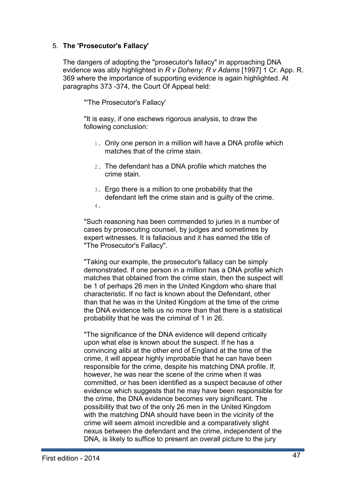#### 5. **The 'Prosecutor's Fallacy'**

The dangers of adopting the "prosecutor's fallacy" in approaching DNA evidence was ably highlighted in *R v Doheny; R v Adams* [1997] 1 Cr. App. R. 369 where the importance of supporting evidence is again highlighted. At paragraphs 373 -374, the Court Of Appeal held:

"'The Prosecutor's Fallacy'

"It is easy, if one eschews rigorous analysis, to draw the following conclusion:

- 1. Only one person in a million will have a DNA profile which matches that of the crime stain.
- 2. The defendant has a DNA profile which matches the crime stain.
- 3. Ergo there is a million to one probability that the defendant left the crime stain and is guilty of the crime.

4.

"Such reasoning has been commended to juries in a number of cases by prosecuting counsel, by judges and sometimes by expert witnesses. It is fallacious and it has earned the title of "The Prosecutor's Fallacy".

"Taking our example, the prosecutor's fallacy can be simply demonstrated. If one person in a million has a DNA profile which matches that obtained from the crime stain, then the suspect will be 1 of perhaps 26 men in the United Kingdom who share that characteristic. If no fact is known about the Defendant, other than that he was in the United Kingdom at the time of the crime the DNA evidence tells us no more than that there is a statistical probability that he was the criminal of 1 in 26.

"The significance of the DNA evidence will depend critically upon what else is known about the suspect. If he has a convincing alibi at the other end of England at the time of the crime, it will appear highly improbable that he can have been responsible for the crime, despite his matching DNA profile. If, however, he was near the scene of the crime when it was committed, or has been identified as a suspect because of other evidence which suggests that he may have been responsible for the crime, the DNA evidence becomes very significant. The possibility that two of the only 26 men in the United Kingdom with the matching DNA should have been in the vicinity of the crime will seem almost incredible and a comparatively slight nexus between the defendant and the crime, independent of the DNA, is likely to suffice to present an overall picture to the jury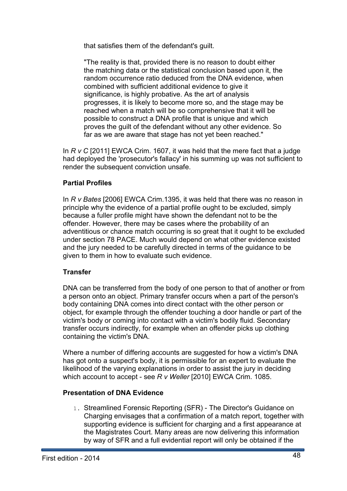that satisfies them of the defendant's guilt.

"The reality is that, provided there is no reason to doubt either the matching data or the statistical conclusion based upon it, the random occurrence ratio deduced from the DNA evidence, when combined with sufficient additional evidence to give it significance, is highly probative. As the art of analysis progresses, it is likely to become more so, and the stage may be reached when a match will be so comprehensive that it will be possible to construct a DNA profile that is unique and which proves the guilt of the defendant without any other evidence. So far as we are aware that stage has not yet been reached."

In *R v C* [2011] EWCA Crim. 1607, it was held that the mere fact that a judge had deployed the 'prosecutor's fallacy' in his summing up was not sufficient to render the subsequent conviction unsafe.

#### **Partial Profiles**

In *R v Bates* [2006] EWCA Crim.1395, it was held that there was no reason in principle why the evidence of a partial profile ought to be excluded, simply because a fuller profile might have shown the defendant not to be the offender. However, there may be cases where the probability of an adventitious or chance match occurring is so great that it ought to be excluded under section 78 PACE. Much would depend on what other evidence existed and the jury needed to be carefully directed in terms of the guidance to be given to them in how to evaluate such evidence.

### **Transfer**

DNA can be transferred from the body of one person to that of another or from a person onto an object. Primary transfer occurs when a part of the person's body containing DNA comes into direct contact with the other person or object, for example through the offender touching a door handle or part of the victim's body or coming into contact with a victim's bodily fluid. Secondary transfer occurs indirectly, for example when an offender picks up clothing containing the victim's DNA.

Where a number of differing accounts are suggested for how a victim's DNA has got onto a suspect's body, it is permissible for an expert to evaluate the likelihood of the varying explanations in order to assist the jury in deciding which account to accept - see *R v Weller* [2010] EWCA Crim. 1085.

#### **Presentation of DNA Evidence**

1. Streamlined Forensic Reporting (SFR) - The Director's Guidance on Charging envisages that a confirmation of a match report, together with supporting evidence is sufficient for charging and a first appearance at the Magistrates Court. Many areas are now delivering this information by way of SFR and a full evidential report will only be obtained if the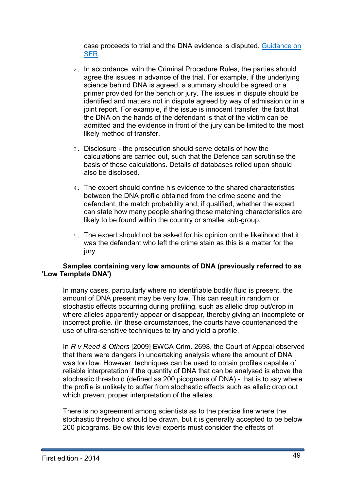case proceeds to trial and the DNA evidence is disputed. [Guidance on](file:///Users/jenniesmith/Library/Containers/com.apple.mail/Data/Library/Mail%20Downloads/CDE29D09-106B-4CFA-A66B-5961EDB98708//LDNRCTFS04/sites/strategy_policy/100022/Public/View%20Chapter.aspx%3FChapterID=374&SectionID=4464&ChapterName=Streamlined%20Forensic%20Reporting%20Guidance%20(Toolkit)&SectionName=Supporting%20Information%20and%20SFR%20Toolkit%20with%20forms&Protect=Official)  [SFR.](file:///Users/jenniesmith/Library/Containers/com.apple.mail/Data/Library/Mail%20Downloads/CDE29D09-106B-4CFA-A66B-5961EDB98708//LDNRCTFS04/sites/strategy_policy/100022/Public/View%20Chapter.aspx%3FChapterID=374&SectionID=4464&ChapterName=Streamlined%20Forensic%20Reporting%20Guidance%20(Toolkit)&SectionName=Supporting%20Information%20and%20SFR%20Toolkit%20with%20forms&Protect=Official)

- 2. In accordance, with the Criminal Procedure Rules, the parties should agree the issues in advance of the trial. For example, if the underlying science behind DNA is agreed, a summary should be agreed or a primer provided for the bench or jury. The issues in dispute should be identified and matters not in dispute agreed by way of admission or in a joint report. For example, if the issue is innocent transfer, the fact that the DNA on the hands of the defendant is that of the victim can be admitted and the evidence in front of the jury can be limited to the most likely method of transfer.
- 3. Disclosure the prosecution should serve details of how the calculations are carried out, such that the Defence can scrutinise the basis of those calculations. Details of databases relied upon should also be disclosed.
- 4. The expert should confine his evidence to the shared characteristics between the DNA profile obtained from the crime scene and the defendant, the match probability and, if qualified, whether the expert can state how many people sharing those matching characteristics are likely to be found within the country or smaller sub-group.
- 5. The expert should not be asked for his opinion on the likelihood that it was the defendant who left the crime stain as this is a matter for the jury.

#### **Samples containing very low amounts of DNA (previously referred to as 'Low Template DNA')**

In many cases, particularly where no identifiable bodily fluid is present, the amount of DNA present may be very low. This can result in random or stochastic effects occurring during profiling, such as allelic drop out/drop in where alleles apparently appear or disappear, thereby giving an incomplete or incorrect profile. (In these circumstances, the courts have countenanced the use of ultra-sensitive techniques to try and yield a profile.

In *R v Reed & Others* [2009] EWCA Crim. 2698, the Court of Appeal observed that there were dangers in undertaking analysis where the amount of DNA was too low. However, techniques can be used to obtain profiles capable of reliable interpretation if the quantity of DNA that can be analysed is above the stochastic threshold (defined as 200 picograms of DNA) - that is to say where the profile is unlikely to suffer from stochastic effects such as allelic drop out which prevent proper interpretation of the alleles.

There is no agreement among scientists as to the precise line where the stochastic threshold should be drawn, but it is generally accepted to be below 200 picograms. Below this level experts must consider the effects of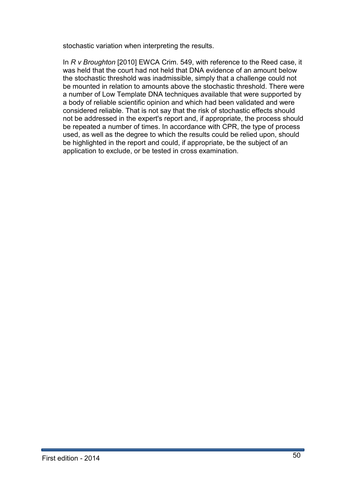stochastic variation when interpreting the results.

In *R v Broughton* [2010] EWCA Crim. 549, with reference to the Reed case, it was held that the court had not held that DNA evidence of an amount below the stochastic threshold was inadmissible, simply that a challenge could not be mounted in relation to amounts above the stochastic threshold. There were a number of Low Template DNA techniques available that were supported by a body of reliable scientific opinion and which had been validated and were considered reliable. That is not say that the risk of stochastic effects should not be addressed in the expert's report and, if appropriate, the process should be repeated a number of times. In accordance with CPR, the type of process used, as well as the degree to which the results could be relied upon, should be highlighted in the report and could, if appropriate, be the subject of an application to exclude, or be tested in cross examination.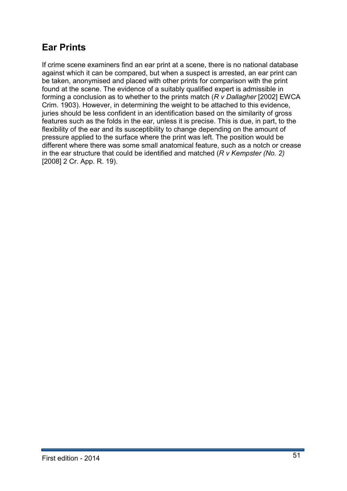# <span id="page-51-0"></span>**Ear Prints**

If crime scene examiners find an ear print at a scene, there is no national database against which it can be compared, but when a suspect is arrested, an ear print can be taken, anonymised and placed with other prints for comparison with the print found at the scene. The evidence of a suitably qualified expert is admissible in forming a conclusion as to whether to the prints match (*R v Dallagher* [2002] EWCA Crim. 1903). However, in determining the weight to be attached to this evidence, juries should be less confident in an identification based on the similarity of gross features such as the folds in the ear, unless it is precise. This is due, in part, to the flexibility of the ear and its susceptibility to change depending on the amount of pressure applied to the surface where the print was left. The position would be different where there was some small anatomical feature, such as a notch or crease in the ear structure that could be identified and matched (*R v Kempster (No. 2)* [2008] 2 Cr. App. R. 19).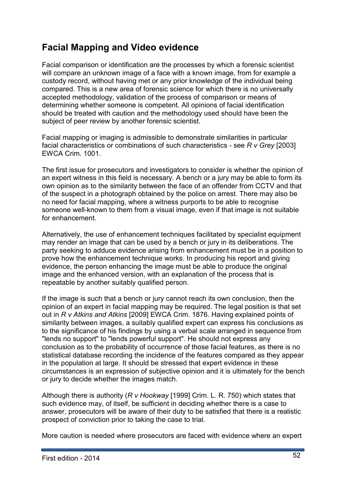# <span id="page-52-0"></span>**Facial Mapping and Video evidence**

Facial comparison or identification are the processes by which a forensic scientist will compare an unknown image of a face with a known image, from for example a custody record, without having met or any prior knowledge of the individual being compared. This is a new area of forensic science for which there is no universally accepted methodology, validation of the process of comparison or means of determining whether someone is competent. All opinions of facial identification should be treated with caution and the methodology used should have been the subject of peer review by another forensic scientist.

Facial mapping or imaging is admissible to demonstrate similarities in particular facial characteristics or combinations of such characteristics - see *R v Grey* [2003] EWCA Crim. 1001.

The first issue for prosecutors and investigators to consider is whether the opinion of an expert witness in this field is necessary. A bench or a jury may be able to form its own opinion as to the similarity between the face of an offender from CCTV and that of the suspect in a photograph obtained by the police on arrest. There may also be no need for facial mapping, where a witness purports to be able to recognise someone well-known to them from a visual image, even if that image is not suitable for enhancement.

Alternatively, the use of enhancement techniques facilitated by specialist equipment may render an image that can be used by a bench or jury in its deliberations. The party seeking to adduce evidence arising from enhancement must be in a position to prove how the enhancement technique works. In producing his report and giving evidence, the person enhancing the image must be able to produce the original image and the enhanced version, with an explanation of the process that is repeatable by another suitably qualified person.

If the image is such that a bench or jury cannot reach its own conclusion, then the opinion of an expert in facial mapping may be required. The legal position is that set out in *R v Atkins and Atkins* [2009] EWCA Crim. 1876. Having explained points of similarity between images, a suitably qualified expert can express his conclusions as to the significance of his findings by using a verbal scale arranged in sequence from "lends no support" to "lends powerful support". He should not express any conclusion as to the probability of occurrence of those facial features, as there is no statistical database recording the incidence of the features compared as they appear in the population at large. It should be stressed that expert evidence in these circumstances is an expression of subjective opinion and it is ultimately for the bench or jury to decide whether the images match.

Although there is authority (*R v Hookway* [1999] Crim. L. R. 750) which states that such evidence may, of itself, be sufficient in deciding whether there is a case to answer, prosecutors will be aware of their duty to be satisfied that there is a realistic prospect of conviction prior to taking the case to trial.

More caution is needed where prosecutors are faced with evidence where an expert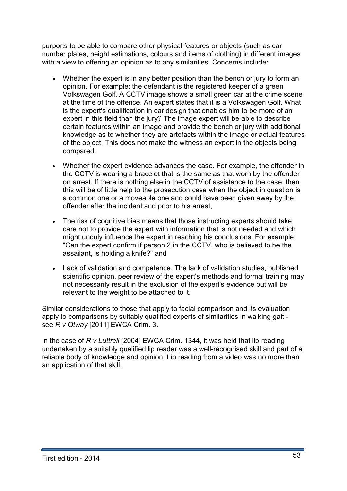purports to be able to compare other physical features or objects (such as car number plates, height estimations, colours and items of clothing) in different images with a view to offering an opinion as to any similarities. Concerns include:

- Whether the expert is in any better position than the bench or jury to form an opinion. For example: the defendant is the registered keeper of a green Volkswagen Golf. A CCTV image shows a small green car at the crime scene at the time of the offence. An expert states that it is a Volkswagen Golf. What is the expert's qualification in car design that enables him to be more of an expert in this field than the jury? The image expert will be able to describe certain features within an image and provide the bench or jury with additional knowledge as to whether they are artefacts within the image or actual features of the object. This does not make the witness an expert in the objects being compared;
- Whether the expert evidence advances the case. For example, the offender in the CCTV is wearing a bracelet that is the same as that worn by the offender on arrest. If there is nothing else in the CCTV of assistance to the case, then this will be of little help to the prosecution case when the object in question is a common one or a moveable one and could have been given away by the offender after the incident and prior to his arrest;
- The risk of cognitive bias means that those instructing experts should take care not to provide the expert with information that is not needed and which might unduly influence the expert in reaching his conclusions. For example: "Can the expert confirm if person 2 in the CCTV, who is believed to be the assailant, is holding a knife?" and
- Lack of validation and competence. The lack of validation studies, published scientific opinion, peer review of the expert's methods and formal training may not necessarily result in the exclusion of the expert's evidence but will be relevant to the weight to be attached to it.

Similar considerations to those that apply to facial comparison and its evaluation apply to comparisons by suitably qualified experts of similarities in walking gait see *R v Otway* [2011] EWCA Crim. 3.

In the case of *R v Luttrell* [2004] EWCA Crim. 1344, it was held that lip reading undertaken by a suitably qualified lip reader was a well-recognised skill and part of a reliable body of knowledge and opinion. Lip reading from a video was no more than an application of that skill.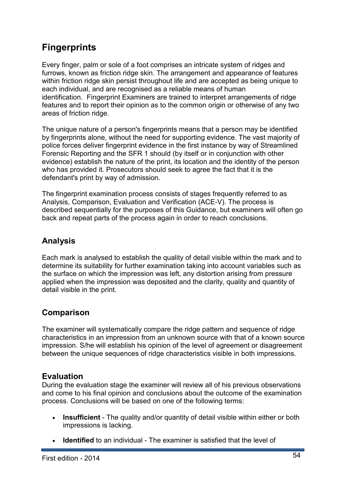# <span id="page-54-0"></span>**Fingerprints**

Every finger, palm or sole of a foot comprises an intricate system of ridges and furrows, known as friction ridge skin. The arrangement and appearance of features within friction ridge skin persist throughout life and are accepted as being unique to each individual, and are recognised as a reliable means of human identification. Fingerprint Examiners are trained to interpret arrangements of ridge features and to report their opinion as to the common origin or otherwise of any two areas of friction ridge.

The unique nature of a person's fingerprints means that a person may be identified by fingerprints alone, without the need for supporting evidence. The vast majority of police forces deliver fingerprint evidence in the first instance by way of Streamlined Forensic Reporting and the SFR 1 should (by itself or in conjunction with other evidence) establish the nature of the print, its location and the identity of the person who has provided it. Prosecutors should seek to agree the fact that it is the defendant's print by way of admission.

The fingerprint examination process consists of stages frequently referred to as Analysis, Comparison, Evaluation and Verification (ACE-V). The process is described sequentially for the purposes of this Guidance, but examiners will often go back and repeat parts of the process again in order to reach conclusions.

### **Analysis**

Each mark is analysed to establish the quality of detail visible within the mark and to determine its suitability for further examination taking into account variables such as the surface on which the impression was left, any distortion arising from pressure applied when the impression was deposited and the clarity, quality and quantity of detail visible in the print.

### **Comparison**

The examiner will systematically compare the ridge pattern and sequence of ridge characteristics in an impression from an unknown source with that of a known source impression. S/he will establish his opinion of the level of agreement or disagreement between the unique sequences of ridge characteristics visible in both impressions.

### **Evaluation**

During the evaluation stage the examiner will review all of his previous observations and come to his final opinion and conclusions about the outcome of the examination process. Conclusions will be based on one of the following terms:

- **Insufficient** The quality and/or quantity of detail visible within either or both impressions is lacking.
- **Identified** to an individual The examiner is satisfied that the level of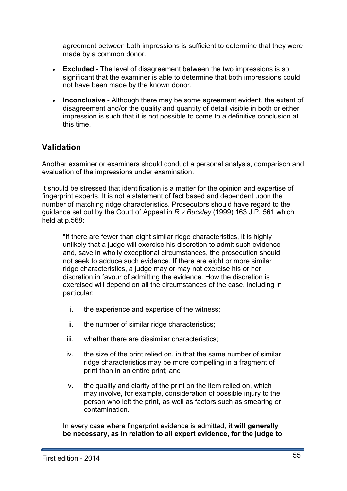agreement between both impressions is sufficient to determine that they were made by a common donor.

- **Excluded** The level of disagreement between the two impressions is so significant that the examiner is able to determine that both impressions could not have been made by the known donor.
- **Inconclusive** Although there may be some agreement evident, the extent of disagreement and/or the quality and quantity of detail visible in both or either impression is such that it is not possible to come to a definitive conclusion at this time.

### **Validation**

Another examiner or examiners should conduct a personal analysis, comparison and evaluation of the impressions under examination.

It should be stressed that identification is a matter for the opinion and expertise of fingerprint experts. It is not a statement of fact based and dependent upon the number of matching ridge characteristics. Prosecutors should have regard to the guidance set out by the Court of Appeal in *R v Buckley* (1999) 163 J.P. 561 which held at p.568:

"If there are fewer than eight similar ridge characteristics, it is highly unlikely that a judge will exercise his discretion to admit such evidence and, save in wholly exceptional circumstances, the prosecution should not seek to adduce such evidence. If there are eight or more similar ridge characteristics, a judge may or may not exercise his or her discretion in favour of admitting the evidence. How the discretion is exercised will depend on all the circumstances of the case, including in particular:

- i. the experience and expertise of the witness;
- ii. the number of similar ridge characteristics;
- iii. whether there are dissimilar characteristics;
- iv. the size of the print relied on, in that the same number of similar ridge characteristics may be more compelling in a fragment of print than in an entire print; and
- v. the quality and clarity of the print on the item relied on, which may involve, for example, consideration of possible injury to the person who left the print, as well as factors such as smearing or contamination.

In every case where fingerprint evidence is admitted, **it will generally be necessary, as in relation to all expert evidence, for the judge to**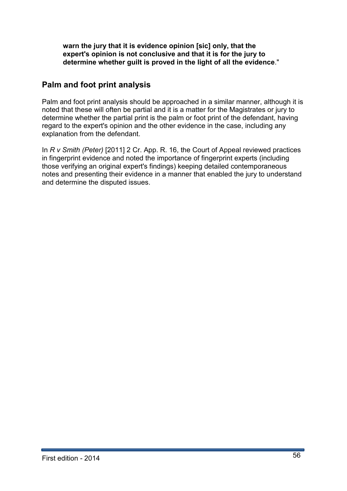**warn the jury that it is evidence opinion [sic] only, that the expert's opinion is not conclusive and that it is for the jury to determine whether guilt is proved in the light of all the evidence**."

### **Palm and foot print analysis**

Palm and foot print analysis should be approached in a similar manner, although it is noted that these will often be partial and it is a matter for the Magistrates or jury to determine whether the partial print is the palm or foot print of the defendant, having regard to the expert's opinion and the other evidence in the case, including any explanation from the defendant.

In *R v Smith (Peter)* [2011] 2 Cr. App. R. 16, the Court of Appeal reviewed practices in fingerprint evidence and noted the importance of fingerprint experts (including those verifying an original expert's findings) keeping detailed contemporaneous notes and presenting their evidence in a manner that enabled the jury to understand and determine the disputed issues.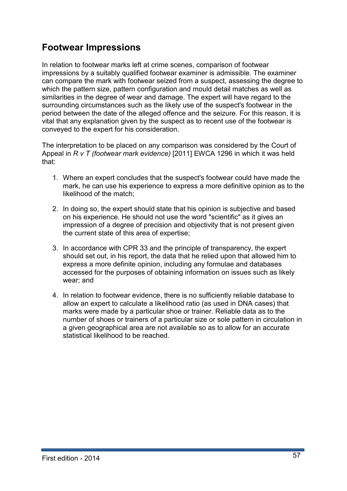# <span id="page-57-0"></span>**Footwear Impressions**

In relation to footwear marks left at crime scenes, comparison of footwear impressions by a suitably qualified footwear examiner is admissible. The examiner can compare the mark with footwear seized from a suspect, assessing the degree to which the pattern size, pattern configuration and mould detail matches as well as similarities in the degree of wear and damage. The expert will have regard to the surrounding circumstances such as the likely use of the suspect's footwear in the period between the date of the alleged offence and the seizure. For this reason, it is vital that any explanation given by the suspect as to recent use of the footwear is conveyed to the expert for his consideration.

The interpretation to be placed on any comparison was considered by the Court of Appeal in *R v T (footwear mark evidence)* [2011] EWCA 1296 in which it was held that:

- 1. Where an expert concludes that the suspect's footwear could have made the mark, he can use his experience to express a more definitive opinion as to the likelihood of the match;
- 2. In doing so, the expert should state that his opinion is subjective and based on his experience. He should not use the word "scientific" as it gives an impression of a degree of precision and objectivity that is not present given the current state of this area of expertise;
- 3. In accordance with CPR 33 and the principle of transparency, the expert should set out, in his report, the data that he relied upon that allowed him to express a more definite opinion, including any formulae and databases accessed for the purposes of obtaining information on issues such as likely wear; and
- 4. In relation to footwear evidence, there is no sufficiently reliable database to allow an expert to calculate a likelihood ratio (as used in DNA cases) that marks were made by a particular shoe or trainer. Reliable data as to the number of shoes or trainers of a particular size or sole pattern in circulation in a given geographical area are not available so as to allow for an accurate statistical likelihood to be reached.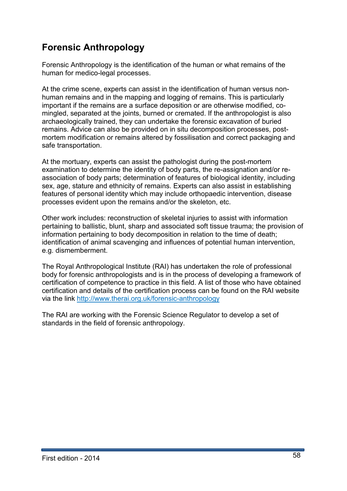# <span id="page-58-0"></span>**Forensic Anthropology**

Forensic Anthropology is the identification of the human or what remains of the human for medico-legal processes.

At the crime scene, experts can assist in the identification of human versus nonhuman remains and in the mapping and logging of remains. This is particularly important if the remains are a surface deposition or are otherwise modified, comingled, separated at the joints, burned or cremated. If the anthropologist is also archaeologically trained, they can undertake the forensic excavation of buried remains. Advice can also be provided on in situ decomposition processes, postmortem modification or remains altered by fossilisation and correct packaging and safe transportation.

At the mortuary, experts can assist the pathologist during the post-mortem examination to determine the identity of body parts, the re-assignation and/or reassociation of body parts; determination of features of biological identity, including sex, age, stature and ethnicity of remains. Experts can also assist in establishing features of personal identity which may include orthopaedic intervention, disease processes evident upon the remains and/or the skeleton, etc.

Other work includes: reconstruction of skeletal injuries to assist with information pertaining to ballistic, blunt, sharp and associated soft tissue trauma; the provision of information pertaining to body decomposition in relation to the time of death; identification of animal scavenging and influences of potential human intervention, e.g. dismemberment.

The Royal Anthropological Institute (RAI) has undertaken the role of professional body for forensic anthropologists and is in the process of developing a framework of certification of competence to practice in this field. A list of those who have obtained certification and details of the certification process can be found on the RAI website via the link<http://www.therai.org.uk/forensic-anthropology>

The RAI are working with the Forensic Science Regulator to develop a set of standards in the field of forensic anthropology.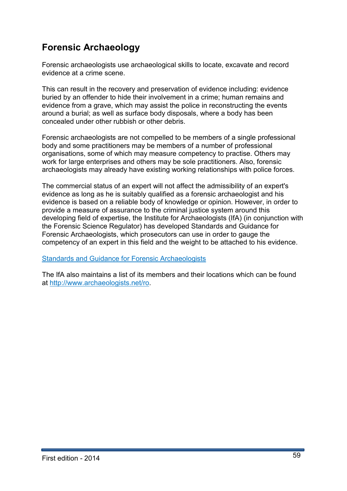# <span id="page-59-0"></span>**Forensic Archaeology**

Forensic archaeologists use archaeological skills to locate, excavate and record evidence at a crime scene.

This can result in the recovery and preservation of evidence including: evidence buried by an offender to hide their involvement in a crime; human remains and evidence from a grave, which may assist the police in reconstructing the events around a burial; as well as surface body disposals, where a body has been concealed under other rubbish or other debris.

Forensic archaeologists are not compelled to be members of a single professional body and some practitioners may be members of a number of professional organisations, some of which may measure competency to practise. Others may work for large enterprises and others may be sole practitioners. Also, forensic archaeologists may already have existing working relationships with police forces.

The commercial status of an expert will not affect the admissibility of an expert's evidence as long as he is suitably qualified as a forensic archaeologist and his evidence is based on a reliable body of knowledge or opinion. However, in order to provide a measure of assurance to the criminal justice system around this developing field of expertise, the Institute for Archaeologists (IfA) (in conjunction with the Forensic Science Regulator) has developed Standards and Guidance for Forensic Archaeologists, which prosecutors can use in order to gauge the competency of an expert in this field and the weight to be attached to his evidence.

[Standards and Guidance for Forensic Archaeologists](http://www.archaeologists.net/sites/default/files/node-files/Forensic2010-v1.pdf)

The IfA also maintains a list of its members and their locations which can be found at [http://www.archaeologists.net/ro.](http://www.archaeologists.net/ro)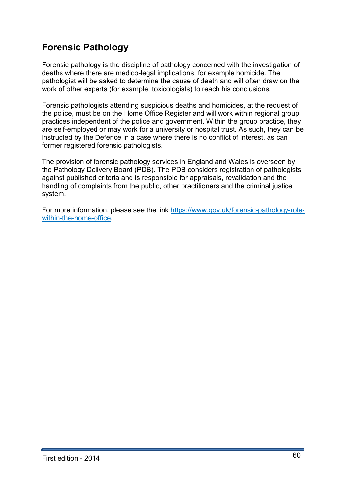# <span id="page-60-0"></span>**Forensic Pathology**

Forensic pathology is the discipline of pathology concerned with the investigation of deaths where there are medico-legal implications, for example homicide. The pathologist will be asked to determine the cause of death and will often draw on the work of other experts (for example, toxicologists) to reach his conclusions.

Forensic pathologists attending suspicious deaths and homicides, at the request of the police, must be on the Home Office Register and will work within regional group practices independent of the police and government. Within the group practice, they are self-employed or may work for a university or hospital trust. As such, they can be instructed by the Defence in a case where there is no conflict of interest, as can former registered forensic pathologists.

The provision of forensic pathology services in England and Wales is overseen by the Pathology Delivery Board (PDB). The PDB considers registration of pathologists against published criteria and is responsible for appraisals, revalidation and the handling of complaints from the public, other practitioners and the criminal justice system.

For more information, please see the link [https://www.gov.uk/forensic-pathology-role](https://www.gov.uk/forensic-pathology-role-within-the-home-office)[within-the-home-office.](https://www.gov.uk/forensic-pathology-role-within-the-home-office)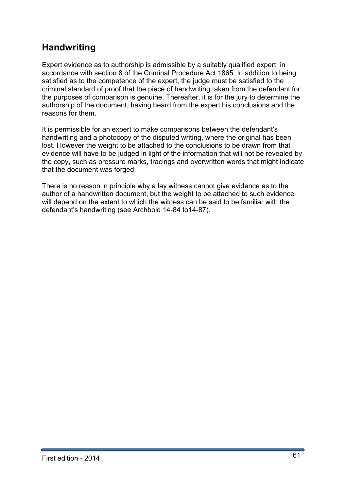# <span id="page-61-0"></span>**Handwriting**

Expert evidence as to authorship is admissible by a suitably qualified expert, in accordance with section 8 of the Criminal Procedure Act 1865. In addition to being satisfied as to the competence of the expert, the judge must be satisfied to the criminal standard of proof that the piece of handwriting taken from the defendant for the purposes of comparison is genuine. Thereafter, it is for the jury to determine the authorship of the document, having heard from the expert his conclusions and the reasons for them.

It is permissible for an expert to make comparisons between the defendant's handwriting and a photocopy of the disputed writing, where the original has been lost. However the weight to be attached to the conclusions to be drawn from that evidence will have to be judged in light of the information that will not be revealed by the copy, such as pressure marks, tracings and overwritten words that might indicate that the document was forged.

There is no reason in principle why a lay witness cannot give evidence as to the author of a handwritten document, but the weight to be attached to such evidence will depend on the extent to which the witness can be said to be familiar with the defendant's handwriting (see Archbold 14-84 to14-87).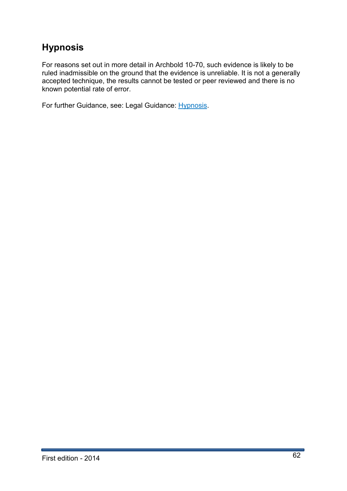# <span id="page-62-0"></span>**Hypnosis**

For reasons set out in more detail in Archbold 10-70, such evidence is likely to be ruled inadmissible on the ground that the evidence is unreliable. It is not a generally accepted technique, the results cannot be tested or peer reviewed and there is no known potential rate of error.

For further Guidance, see: Legal Guidance: [Hypnosis.](file:///Users/jenniesmith/Library/Containers/com.apple.mail/Data/Library/Mail%20Downloads/CDE29D09-106B-4CFA-A66B-5961EDB98708//LDNRCTFS04/sites/strategy_policy/100022/Public/View%20Chapter.aspx%3FChapterID=187&SectionID=4177&ChapterName=Hypnosis&SectionName=Headlines&Protect=Official%20-%20Sensitive)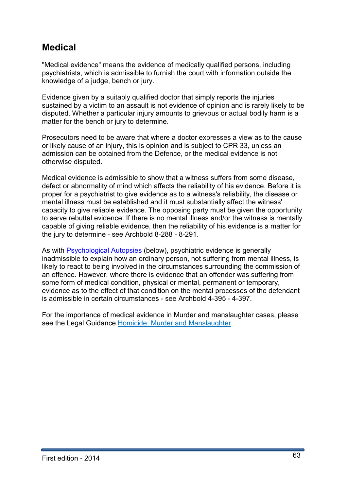# <span id="page-63-0"></span>**Medical**

"Medical evidence" means the evidence of medically qualified persons, including psychiatrists, which is admissible to furnish the court with information outside the knowledge of a judge, bench or jury.

Evidence given by a suitably qualified doctor that simply reports the injuries sustained by a victim to an assault is not evidence of opinion and is rarely likely to be disputed. Whether a particular injury amounts to grievous or actual bodily harm is a matter for the bench or jury to determine.

Prosecutors need to be aware that where a doctor expresses a view as to the cause or likely cause of an injury, this is opinion and is subject to CPR 33, unless an admission can be obtained from the Defence, or the medical evidence is not otherwise disputed.

Medical evidence is admissible to show that a witness suffers from some disease, defect or abnormality of mind which affects the reliability of his evidence. Before it is proper for a psychiatrist to give evidence as to a witness's reliability, the disease or mental illness must be established and it must substantially affect the witness' capacity to give reliable evidence. The opposing party must be given the opportunity to serve rebuttal evidence. If there is no mental illness and/or the witness is mentally capable of giving reliable evidence, then the reliability of his evidence is a matter for the jury to determine - see Archbold 8-288 - 8-291.

As with [Psychological Autopsies](#page-66-0) (below), psychiatric evidence is generally inadmissible to explain how an ordinary person, not suffering from mental illness, is likely to react to being involved in the circumstances surrounding the commission of an offence. However, where there is evidence that an offender was suffering from some form of medical condition, physical or mental, permanent or temporary, evidence as to the effect of that condition on the mental processes of the defendant is admissible in certain circumstances - see Archbold 4-395 - 4-397.

For the importance of medical evidence in Murder and manslaughter cases, please see the Legal Guidance [Homicide: Murder and Manslaughter.](file:///Users/jenniesmith/Library/Containers/com.apple.mail/Data/Library/Mail%20Downloads/CDE29D09-106B-4CFA-A66B-5961EDB98708//LDNRCTFS04/sites/strategy_policy/100022/Public/View%20Chapter.aspx%3FChapterID=171&SectionID=4351&ChapterName=Homicide:%20Murder%20and%20Manslaughter&SectionName=Headlines%20&Protect=No%20Protective%20Marking)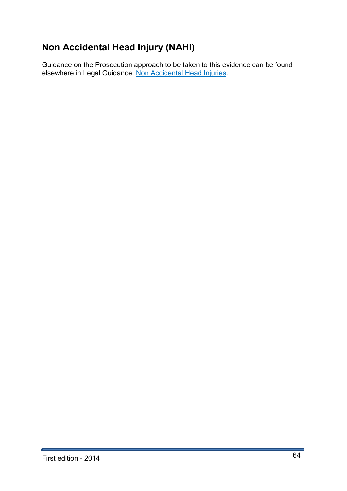# <span id="page-64-0"></span>**Non Accidental Head Injury (NAHI)**

Guidance on the Prosecution approach to be taken to this evidence can be found elsewhere in Legal Guidance: [Non Accidental Head Injuries.](file:///Users/jenniesmith/Library/Containers/com.apple.mail/Data/Library/Mail%20Downloads/CDE29D09-106B-4CFA-A66B-5961EDB98708//ldnrctfs04/sites/strategy_policy/100022/Public/View%20Chapter.aspx)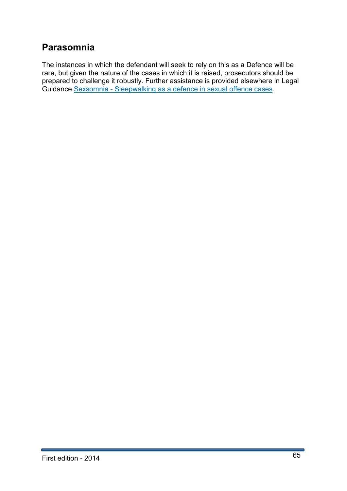# <span id="page-65-0"></span>**Parasomnia**

The instances in which the defendant will seek to rely on this as a Defence will be rare, but given the nature of the cases in which it is raised, prosecutors should be prepared to challenge it robustly. Further assistance is provided elsewhere in Legal Guidance Sexsomnia - [Sleepwalking as a defence in sexual offence cases.](file:///Users/jenniesmith/Library/Containers/com.apple.mail/Data/Library/Mail%20Downloads/CDE29D09-106B-4CFA-A66B-5961EDB98708//LDNRCTFS04/sites/strategy_policy/100022/Public/View%20Chapter.aspx%3FChapterID=240&SectionID=3115&ChapterName=Sexsomnia%20-%20Sleepwalking%20as%20a%20defence%20in%20Sexual%20Offence%20cases&SectionName=Headlines&Protect=No%20Protective%20Marking)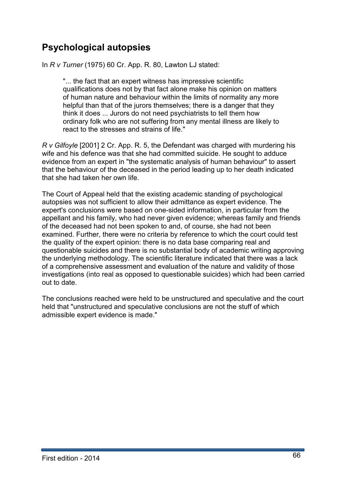# <span id="page-66-0"></span>**Psychological autopsies**

In *R v Turner* (1975) 60 Cr. App. R. 80, Lawton LJ stated:

"... the fact that an expert witness has impressive scientific qualifications does not by that fact alone make his opinion on matters of human nature and behaviour within the limits of normality any more helpful than that of the jurors themselves; there is a danger that they think it does ... Jurors do not need psychiatrists to tell them how ordinary folk who are not suffering from any mental illness are likely to react to the stresses and strains of life."

*R v Gilfoyle* [2001] 2 Cr. App. R. 5, the Defendant was charged with murdering his wife and his defence was that she had committed suicide. He sought to adduce evidence from an expert in "the systematic analysis of human behaviour" to assert that the behaviour of the deceased in the period leading up to her death indicated that she had taken her own life.

The Court of Appeal held that the existing academic standing of psychological autopsies was not sufficient to allow their admittance as expert evidence. The expert's conclusions were based on one-sided information, in particular from the appellant and his family, who had never given evidence; whereas family and friends of the deceased had not been spoken to and, of course, she had not been examined. Further, there were no criteria by reference to which the court could test the quality of the expert opinion: there is no data base comparing real and questionable suicides and there is no substantial body of academic writing approving the underlying methodology. The scientific literature indicated that there was a lack of a comprehensive assessment and evaluation of the nature and validity of those investigations (into real as opposed to questionable suicides) which had been carried out to date.

The conclusions reached were held to be unstructured and speculative and the court held that "unstructured and speculative conclusions are not the stuff of which admissible expert evidence is made."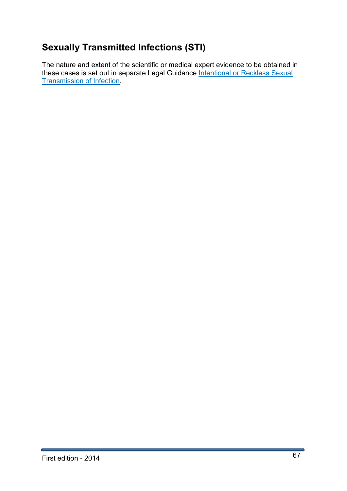# <span id="page-67-0"></span>**Sexually Transmitted Infections (STI)**

The nature and extent of the scientific or medical expert evidence to be obtained in these cases is set out in separate Legal Guidance Intentional or Reckless Sexual [Transmission of Infection.](file:///Users/jenniesmith/Library/Containers/com.apple.mail/Data/Library/Mail%20Downloads/CDE29D09-106B-4CFA-A66B-5961EDB98708//LDNRCTFS04/sites/strategy_policy/100022/Public/View%20Chapter.aspx%3FChapterID=174&SectionID=2747&ChapterName=Sexual%20Infection%20-%20Intentional%20or%20Reckless%20Transmission&SectionName=Headlines&Protect=Restricted)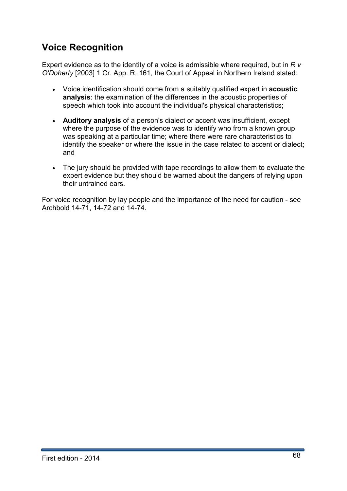# <span id="page-68-0"></span>**Voice Recognition**

Expert evidence as to the identity of a voice is admissible where required, but in *R v O'Doherty* [2003] 1 Cr. App. R. 161, the Court of Appeal in Northern Ireland stated:

- Voice identification should come from a suitably qualified expert in **acoustic analysis**: the examination of the differences in the acoustic properties of speech which took into account the individual's physical characteristics;
- **Auditory analysis** of a person's dialect or accent was insufficient, except where the purpose of the evidence was to identify who from a known group was speaking at a particular time; where there were rare characteristics to identify the speaker or where the issue in the case related to accent or dialect; and
- The jury should be provided with tape recordings to allow them to evaluate the expert evidence but they should be warned about the dangers of relying upon their untrained ears.

For voice recognition by lay people and the importance of the need for caution - see Archbold 14-71, 14-72 and 14-74.